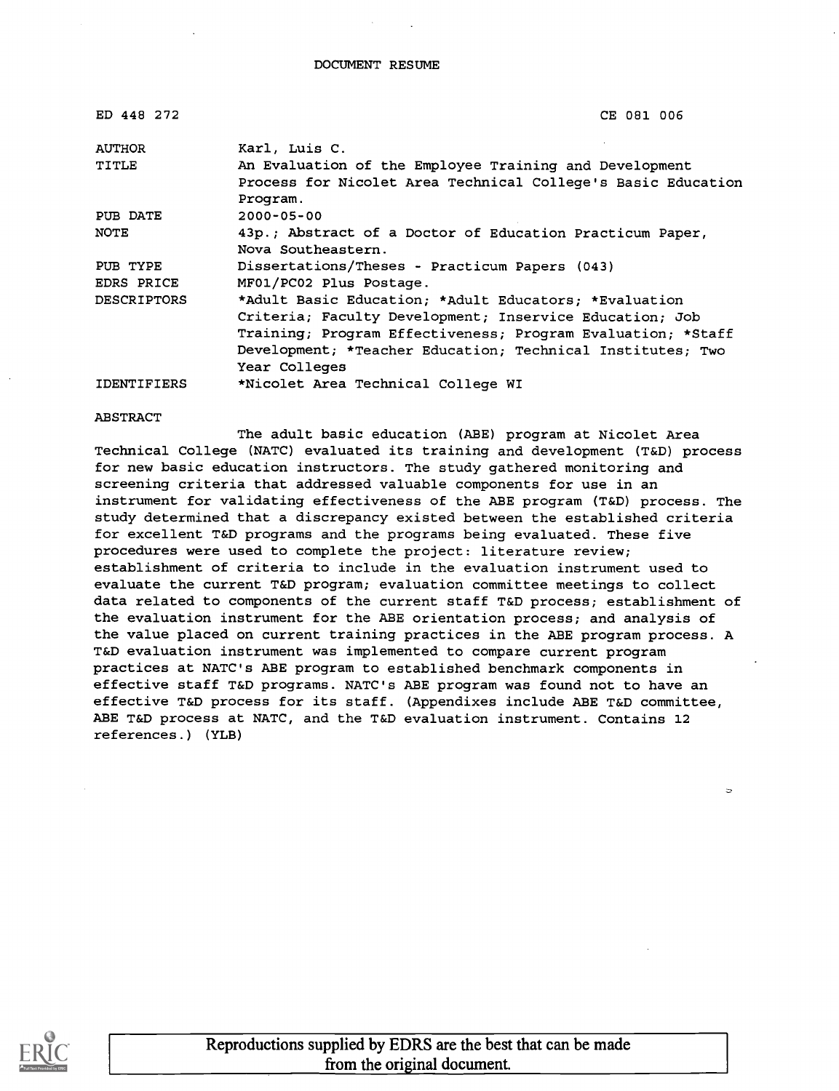| ED 448 272         | CE 081 006                                                   |
|--------------------|--------------------------------------------------------------|
| <b>AUTHOR</b>      | Karl, Luis C.                                                |
| TITLE              | An Evaluation of the Employee Training and Development       |
|                    | Process for Nicolet Area Technical College's Basic Education |
|                    | Program.                                                     |
| PUB DATE           | $2000 - 05 - 00$                                             |
| NOTE               | 43p.; Abstract of a Doctor of Education Practicum Paper,     |
|                    | Nova Southeastern.                                           |
| PUB TYPE           | Dissertations/Theses - Practicum Papers (043)                |
| EDRS PRICE         | MF01/PC02 Plus Postage.                                      |
| <b>DESCRIPTORS</b> | *Adult Basic Education; *Adult Educators; *Evaluation        |
|                    | Criteria; Faculty Development; Inservice Education; Job      |
|                    | Training; Program Effectiveness; Program Evaluation; *Staff  |
|                    | Development; *Teacher Education; Technical Institutes; Two   |
|                    | Year Colleges                                                |
| <b>IDENTIFIERS</b> | *Nicolet Area Technical College WI                           |

#### ABSTRACT

The adult basic education (ABE) program at Nicolet Area Technical College (NATC) evaluated its training and development (T&D) process for new basic education instructors. The study gathered monitoring and screening criteria that addressed valuable components for use in an instrument for validating effectiveness of the ABE program (T&D) process. The study determined that a discrepancy existed between the established criteria for excellent T&D programs and the programs being evaluated. These five procedures were used to complete the project: literature review; establishment of criteria to include in the evaluation instrument used to evaluate the current T&D program; evaluation committee meetings to collect data related to components of the current staff T&D process; establishment of the evaluation instrument for the ABE orientation process; and analysis of the value placed on current training practices in the ABE program process. A T&D evaluation instrument was implemented to compare current program practices at NATC's ABE program to established benchmark components in effective staff T&D programs. NATC's ABE program was found not to have an effective T&D process for its staff. (Appendixes include ABE T&D committee, ABE T&D process at NATC, and the T&D evaluation instrument. Contains 12 references.) (YLB)

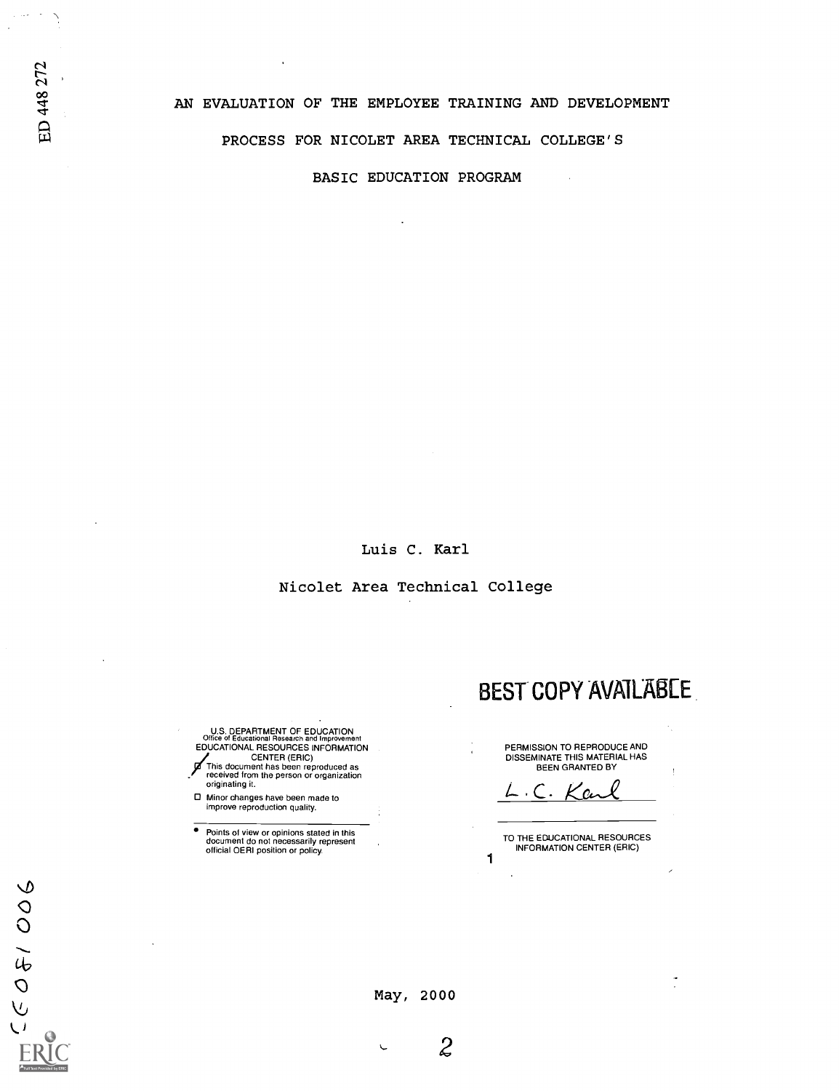BASIC EDUCATION PROGRAM

Luis C. Karl

Nicolet Area Technical College

U.S. DEPARTMENT OF EDUCATION Office of Educational Research and Improvement EDUCATIONAL RESOURCES INFORMATION CENTER (ERIC) This document has been reproduced as received from the person or organization originating it.

Minor changes have been made to improve reproduction quality.

Points of view or opinions stated in this document do not necessarily represent official OERI position or policy.

PERMISSION TO REPRODUCE AND DISSEMINATE THIS MATERIAL HAS BEEN GRANTED BY

BEST COPY AVAILABLE

 $\cdot$  C.  $\kappa$  cm

TO THE EDUCATIONAL RESOURCES INFORMATION CENTER (ERIC)

1

 $\hat{\mathbf{r}}$ 

ED 448 272

 $\frac{1}{\sqrt{2}}\sum_{i=1}^{n} \frac{1}{\sqrt{2}}\left(\frac{1}{\sqrt{2}}\right)^2\left(\frac{1}{\sqrt{2}}\right)^2.$ 

May, 2000

 $\mathcal{Z}$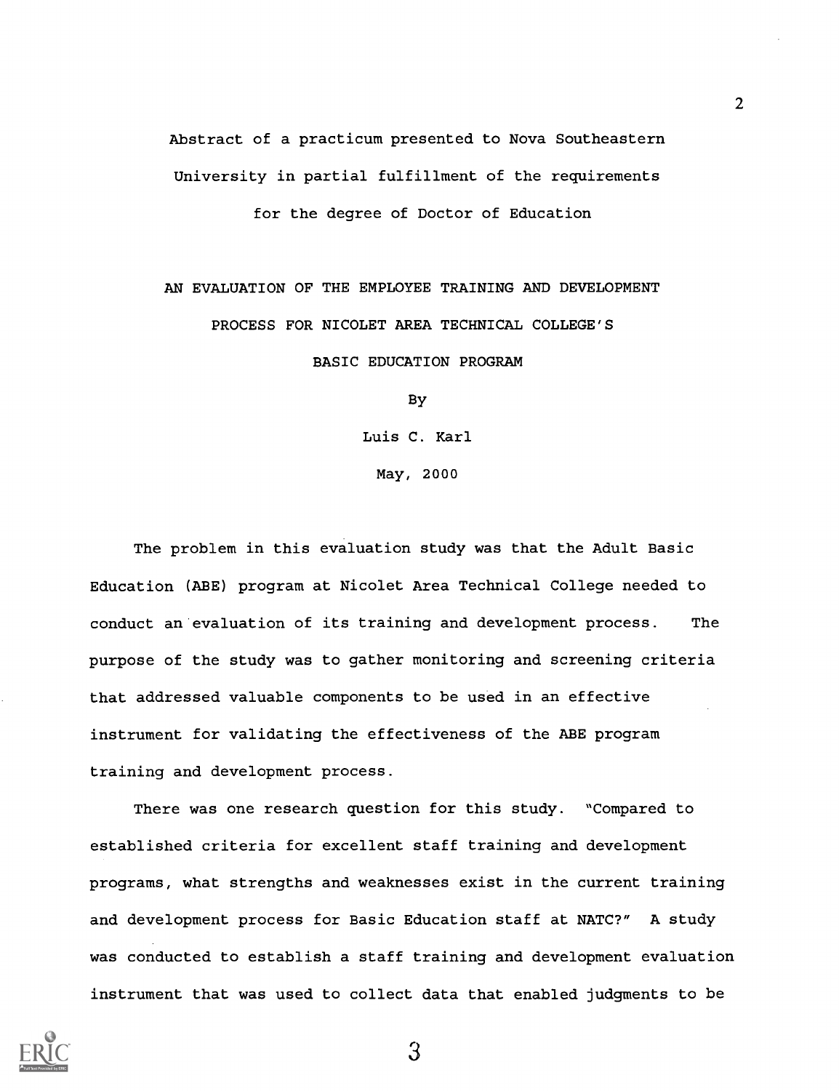Abstract of a practicum presented to Nova Southeastern University in partial fulfillment of the requirements for the degree of Doctor of Education

AN EVALUATION OF THE EMPLOYEE TRAINING AND DEVELOPMENT PROCESS FOR NICOLET AREA TECHNICAL COLLEGE'S BASIC EDUCATION PROGRAM

By

Luis C. Karl

May, 2000

The problem in this evaluation study was that the Adult Basic Education (ABE) program at Nicolet Area Technical College needed to conduct an evaluation of its training and development process. The purpose of the study was to gather monitoring and screening criteria that addressed valuable components to be used in an effective instrument for validating the effectiveness of the ABE program training and development process.

There was one research question for this study. "Compared to established criteria for excellent staff training and development programs, what strengths and weaknesses exist in the current training and development process for Basic Education staff at NATC?" A study was conducted to establish a staff training and development evaluation instrument that was used to collect data that enabled judgments to be

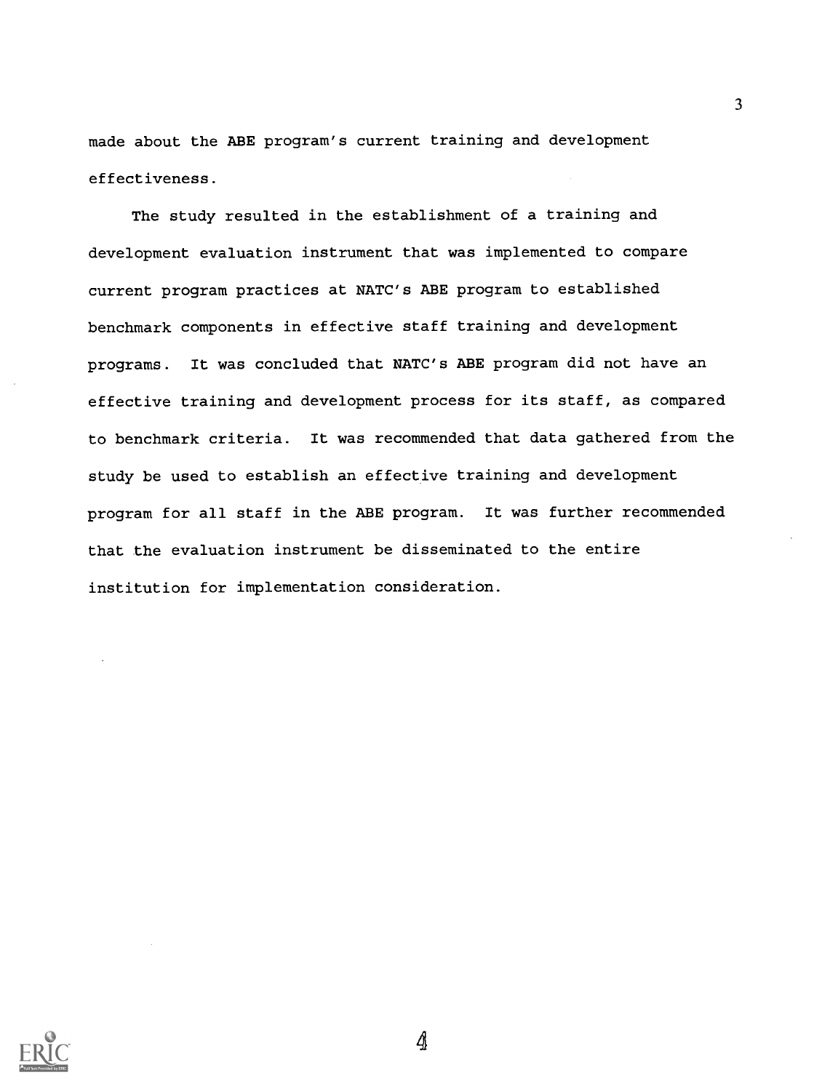made about the ABE program's current training and development effectiveness.

The study resulted in the establishment of a training and development evaluation instrument that was implemented to compare current program practices at NATC's ABE program to established benchmark components in effective staff training and development programs. It was concluded that NATC's ABE program did not have an effective training and development process for its staff, as compared to benchmark criteria. It was recommended that data gathered from the study be used to establish an effective training and development program for all staff in the ABE program. It was further recommended that the evaluation instrument be disseminated to the entire institution for implementation consideration.



4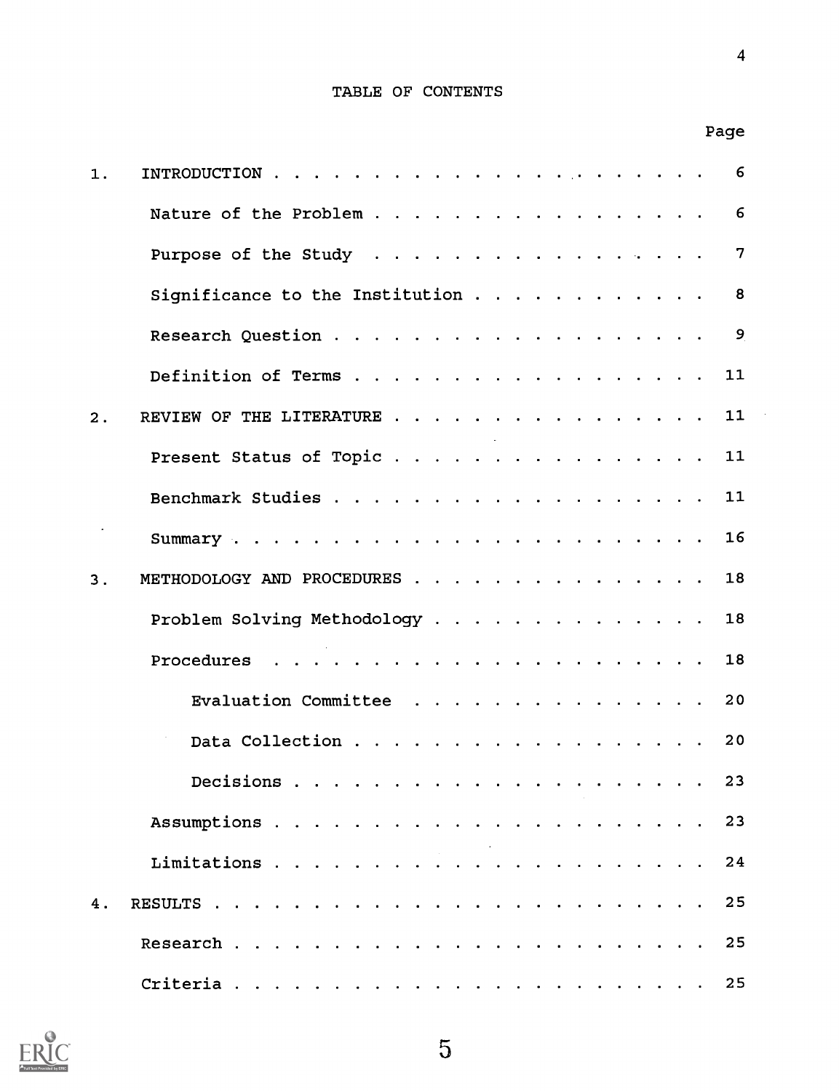## TABLE OF CONTENTS

Page

| 1. | 6                                    |
|----|--------------------------------------|
|    | Nature of the Problem<br>6           |
|    | Purpose of the Study<br>7            |
|    | Significance to the Institution<br>8 |
|    | 9                                    |
|    | 11<br>Definition of Terms            |
| 2. | 11<br>REVIEW OF THE LITERATURE       |
|    | Present Status of Topic<br>11        |
|    | 11                                   |
|    | 16                                   |
| 3. | METHODOLOGY AND PROCEDURES<br>18     |
|    | Problem Solving Methodology<br>18    |
|    | 18                                   |
|    | Evaluation Committee<br>20           |
|    | Data Collection<br>20                |
|    | 23                                   |
|    |                                      |
|    | 24                                   |
| 4. | 25                                   |
|    | 25                                   |
|    |                                      |

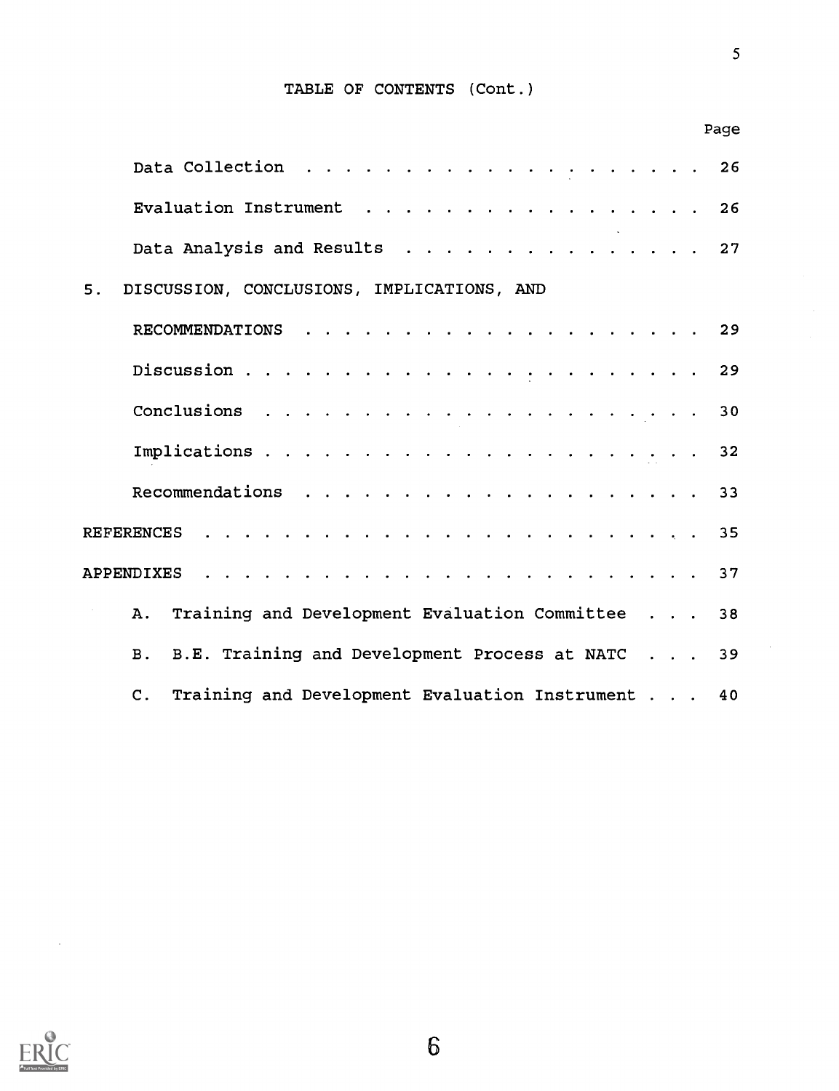### TABLE OF CONTENTS (Cont.)

|    | Page                                                                |  |
|----|---------------------------------------------------------------------|--|
|    |                                                                     |  |
|    | Evaluation Instrument 26                                            |  |
|    | Data Analysis and Results 27                                        |  |
| 5. | DISCUSSION, CONCLUSIONS, IMPLICATIONS, AND                          |  |
|    |                                                                     |  |
|    |                                                                     |  |
|    |                                                                     |  |
|    | 32                                                                  |  |
|    |                                                                     |  |
|    |                                                                     |  |
|    | <b>APPENDIXES</b>                                                   |  |
|    | Training and Development Evaluation Committee 38<br>A.,             |  |
|    | B.E. Training and Development Process at NATC 39<br><b>B</b> .      |  |
|    | Training and Development Evaluation Instrument 40<br>$\mathsf{C}$ . |  |



 $\sim$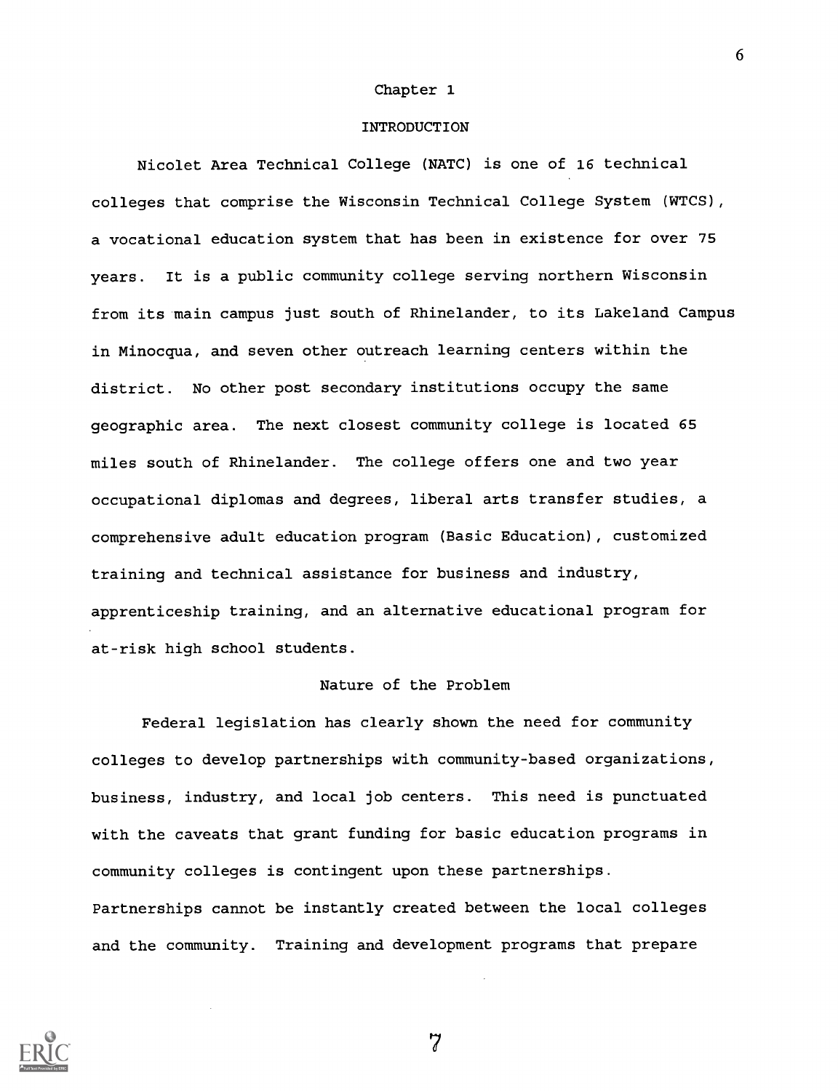#### Chapter 1

#### INTRODUCTION

Nicolet Area Technical College (NATC) is one of 16 technical colleges that comprise the Wisconsin Technical College System (WTCS), a vocational education system that has been in existence for over 75 years. It is a public community college serving northern Wisconsin from its main campus just south of Rhinelander, to its Lakeland Campus in Minocqua, and seven other outreach learning centers within the district. No other post secondary institutions occupy the same geographic area. The next closest community college is located 65 miles south of Rhinelander. The college offers one and two year occupational diplomas and degrees, liberal arts transfer studies, a comprehensive adult education program (Basic Education), customized training and technical assistance for business and industry, apprenticeship training, and an alternative educational program for at-risk high school students.

#### Nature of the Problem

Federal legislation has clearly shown the need for community colleges to develop partnerships with community-based organizations, business, industry, and local job centers. This need is punctuated with the caveats that grant funding for basic education programs in community colleges is contingent upon these partnerships. Partnerships cannot be instantly created between the local colleges and the community. Training and development programs that prepare



7

 $\mathbf{6}$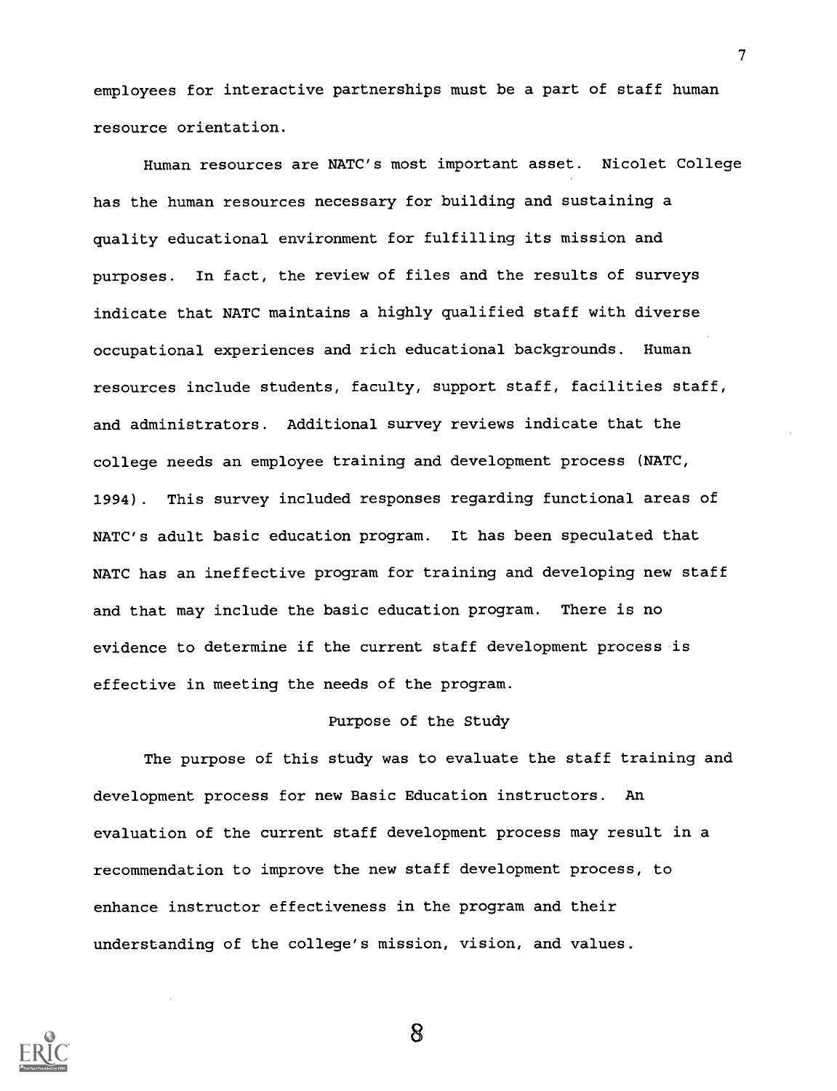employees for interactive partnerships must be a part of staff human resource orientation.

Human resources are NATC's most important asset. Nicolet College has the human resources necessary for building and sustaining a quality educational environment for fulfilling its mission and purposes. In fact, the review of files and the results of surveys indicate that NATC maintains a highly qualified staff with diverse occupational experiences and rich educational backgrounds. Human resources include students, faculty, support staff, facilities staff, and administrators. Additional survey reviews indicate that the college needs an employee training and development process (NATC, 1994). This survey included responses regarding functional areas of NATC's adult basic education program. It has been speculated that NATC has an ineffective program for training and developing new staff and that may include the basic education program. There is no evidence to determine if the current staff development process is effective in meeting the needs of the program.

#### Purpose of the Study

The purpose of this study was to evaluate the staff training and development process for new Basic Education instructors. An evaluation of the current staff development process may result in a recommendation to improve the new staff development process, to enhance instructor effectiveness in the program and their understanding of the college's mission, vision, and values.



8

 $\mathcal{T}$  and  $\mathcal{T}$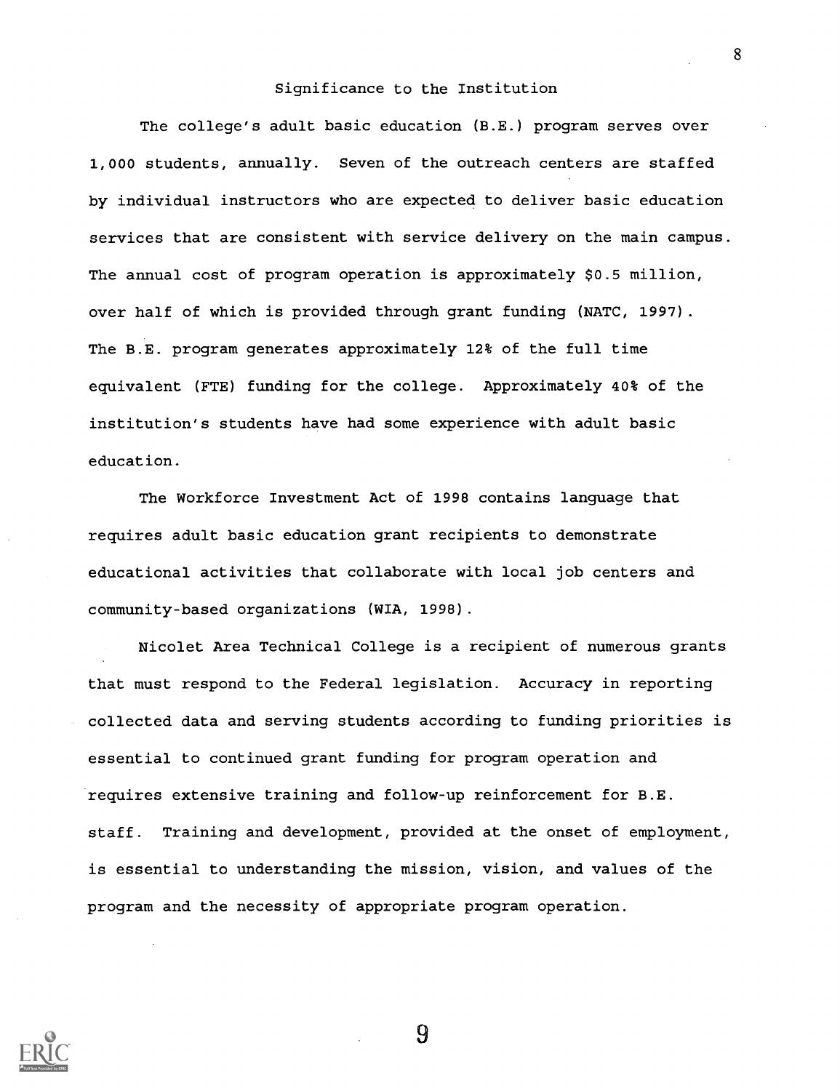#### Significance to the Institution

The college's adult basic education (B.E.) program serves over 1,000 students, annually. Seven of the outreach centers are staffed by individual instructors who are expected to deliver basic education services that are consistent with service delivery on the main campus. The annual cost of program operation is approximately \$0.5 million, over half of which is provided through grant funding (NATC, 1997). The B.E. program generates approximately 12% of the full time equivalent (FTE) funding for the college. Approximately 40% of the institution's students have had some experience with adult basic education.

The Workforce Investment Act of 1998 contains language that requires adult basic education grant recipients to demonstrate educational activities that collaborate with local job centers and community-based organizations (WIA, 1998).

Nicolet Area Technical College is a recipient of numerous grants that must respond to the Federal legislation. Accuracy in reporting collected data and serving students according to funding priorities is essential to continued grant funding for program operation and requires extensive training and follow-up reinforcement for B.E. staff. Training and development, provided at the onset of employment, is essential to understanding the mission, vision, and values of the program and the necessity of appropriate program operation.



9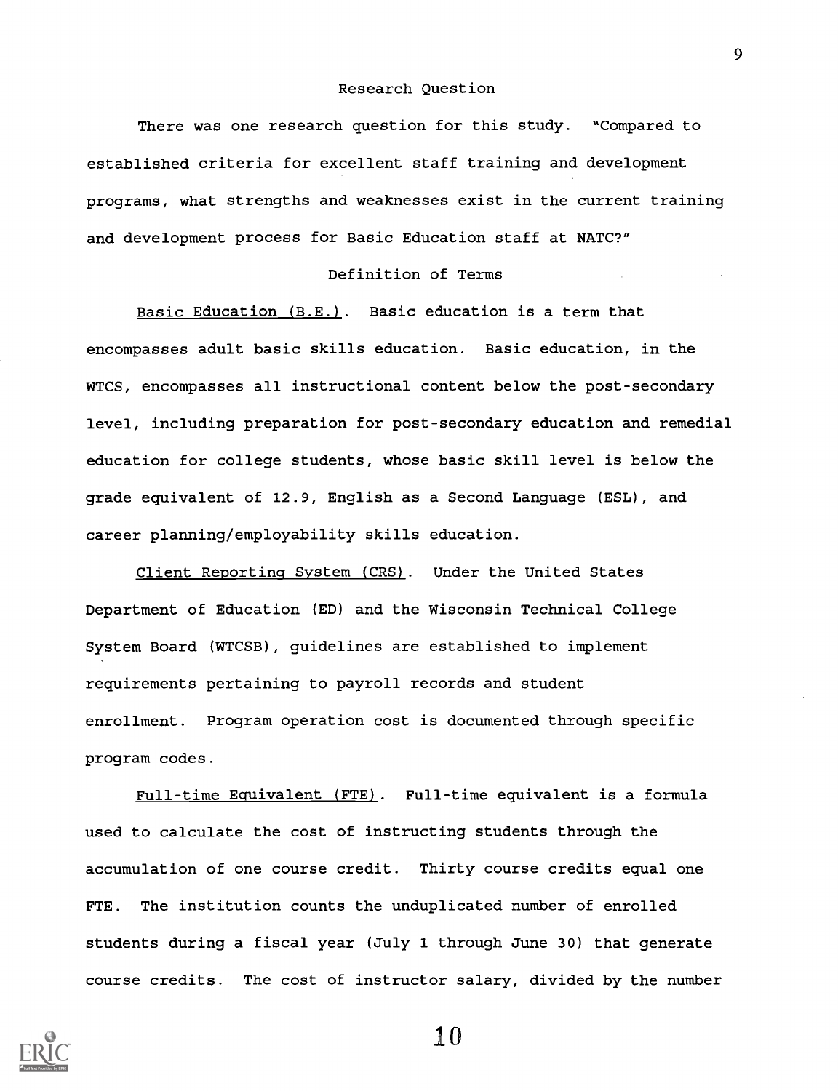#### Research Question

There was one research question for this study. "Compared to established criteria for excellent staff training and development programs, what strengths and weaknesses exist in the current training and development process for Basic Education staff at NATC?"

#### Definition of Terms

Basic Education (B.E.). Basic education is a term that encompasses adult basic skills education. Basic education, in the WTCS, encompasses all instructional content below the post-secondary level, including preparation for post-secondary education and remedial education for college students, whose basic skill level is below the grade equivalent of 12.9, English as a Second Language (ESL), and career planning/employability skills education.

Client Reporting System (CRS). Under the United States Department of Education (ED) and the Wisconsin Technical College System Board (WTCSB), guidelines are established to implement requirements pertaining to payroll records and student enrollment. Program operation cost is documented through specific program codes.

Full-time Equivalent (FTE). Full-time equivalent is a formula used to calculate the cost of instructing students through the accumulation of one course credit. Thirty course credits equal one FTE. The institution counts the unduplicated number of enrolled students during a fiscal year (July 1 through June 30) that generate course credits. The cost of instructor salary, divided by the number



 $1<sub>0</sub>$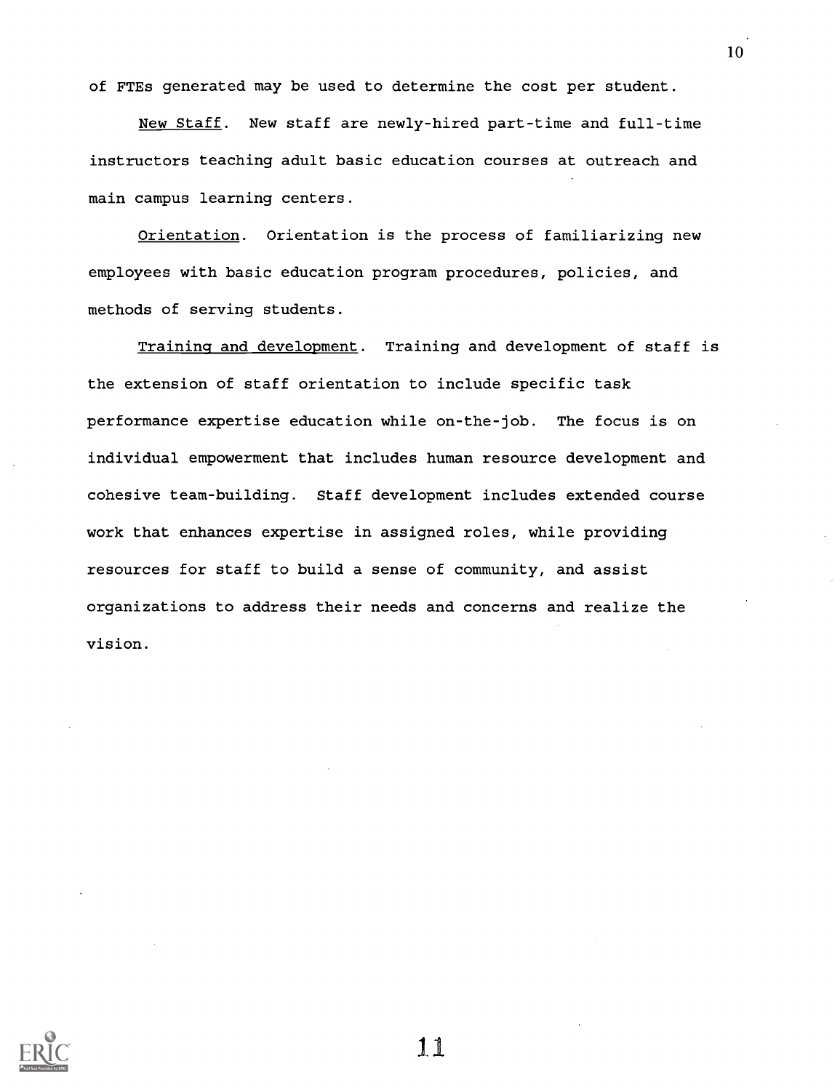of FTEs generated may be used to determine the cost per student.

New Staff. New staff are newly-hired part-time and full-time instructors teaching adult basic education courses at outreach and main campus learning centers.

Orientation. Orientation is the process of familiarizing new employees with basic education program procedures, policies, and methods of serving students.

Training and development. Training and development of staff is the extension of staff orientation to include specific task performance expertise education while on-the-job. The focus is on individual empowerment that includes human resource development and cohesive team-building. Staff development includes extended course work that enhances expertise in assigned roles, while providing resources for staff to build a sense of community, and assist organizations to address their needs and concerns and realize the vision.



11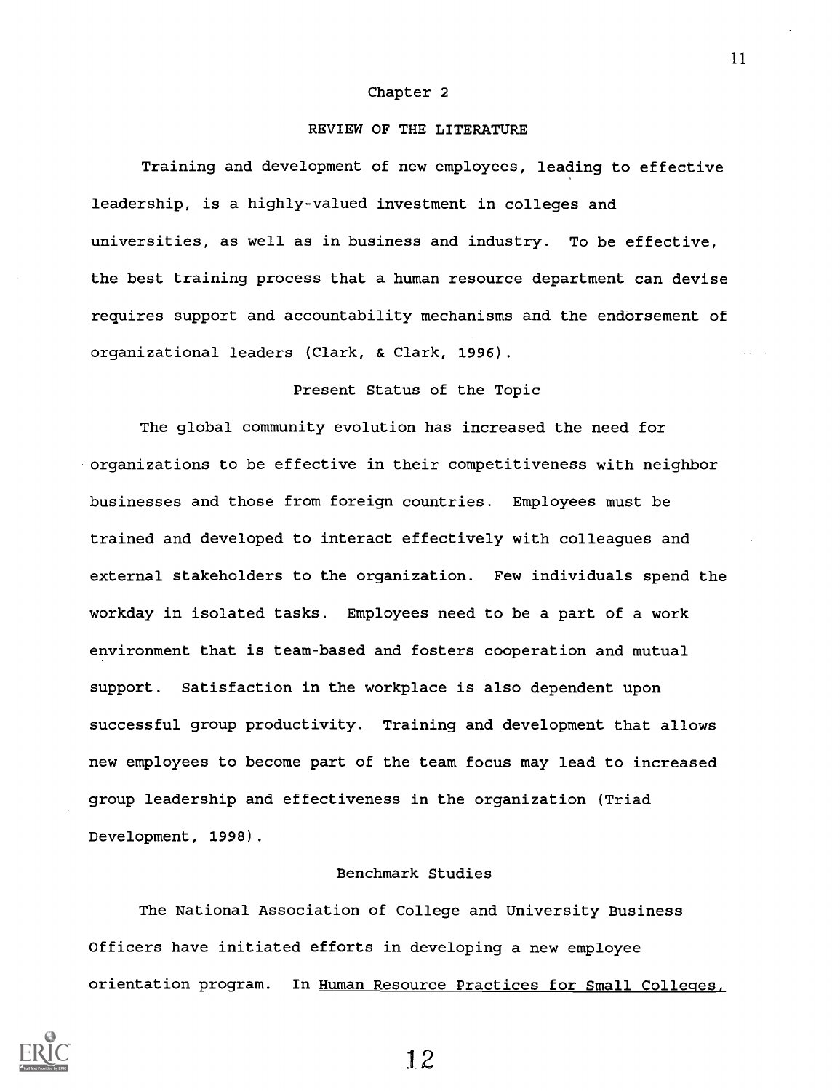#### Chapter 2

#### REVIEW OF THE LITERATURE

Training and development of new employees, leading to effective leadership, is a highly-valued investment in colleges and universities, as well as in business and industry. To be effective, the best training process that a human resource department can devise requires support and accountability mechanisms and the endorsement of organizational leaders (Clark, & Clark, 1996).

#### Present Status of the Topic

The global community evolution has increased the need for organizations to be effective in their competitiveness with neighbor businesses and those from foreign countries. Employees must be trained and developed to interact effectively with colleagues and external stakeholders to the organization. Few individuals spend the workday in isolated tasks. Employees need to be a part of a work environment that is team-based and fosters cooperation and mutual support. Satisfaction in the workplace is also dependent upon successful group productivity. Training and development that allows new employees to become part of the team focus may lead to increased group leadership and effectiveness in the organization (Triad Development, 1998).

#### Benchmark Studies

The National Association of College and University Business Officers have initiated efforts in developing a new employee orientation program. In Human Resource Practices for Small Colleges,



1 2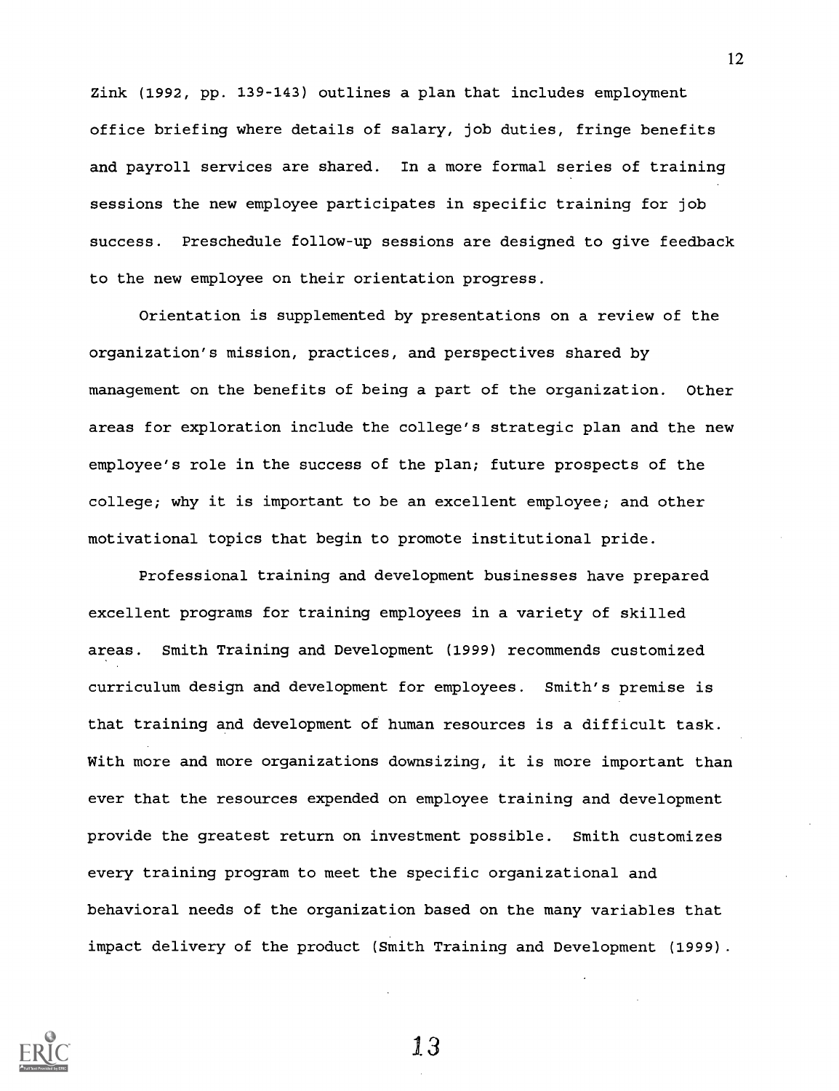Zink (1992, pp. 139-143) outlines a plan that includes employment office briefing where details of salary, job duties, fringe benefits and payroll services are shared. In a more formal series of training sessions the new employee participates in specific training for job success. Preschedule follow-up sessions are designed to give feedback to the new employee on their orientation progress.

Orientation is supplemented by presentations on a review of the organization's mission, practices, and perspectives shared by management on the benefits of being a part of the organization. Other areas for exploration include the college's strategic plan and the new employee's role in the success of the plan; future prospects of the college; why it is important to be an excellent employee; and other motivational topics that begin to promote institutional pride.

Professional training and development businesses have prepared excellent programs for training employees in a variety of skilled areas. Smith Training and Development (1999) recommends customized curriculum design and development for employees. Smith's premise is that training and development of human resources is a difficult task. With more and more organizations downsizing, it is more important than ever that the resources expended on employee training and development provide the greatest return on investment possible. Smith customizes every training program to meet the specific organizational and behavioral needs of the organization based on the many variables that impact delivery of the product (Smith Training and Development (1999).

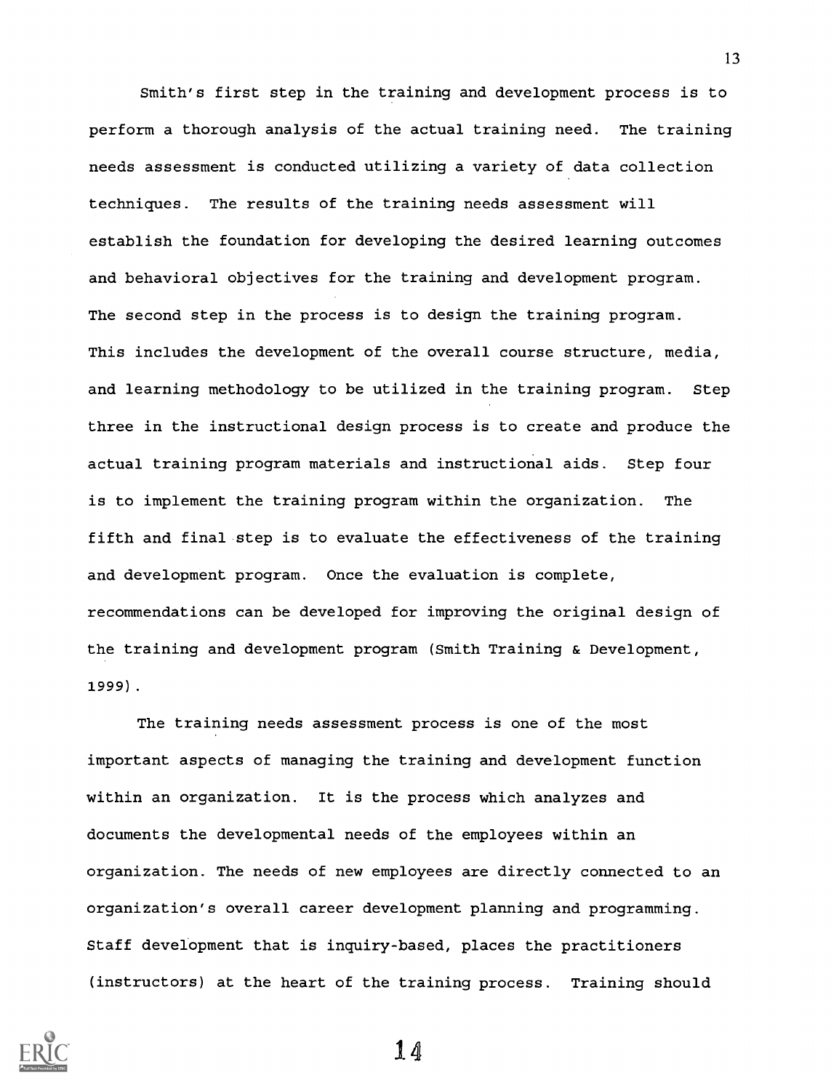Smith's first step in the training and development process is to perform a thorough analysis of the actual training need. The training needs assessment is conducted utilizing a variety of data collection techniques. The results of the training needs assessment will establish the foundation for developing the desired learning outcomes and behavioral objectives for the training and development program. The second step in the process is to design the training program. This includes the development of the overall course structure, media, and learning methodology to be utilized in the training program. Step three in the instructional design process is to create and produce the actual training program materials and instructional aids. Step four is to implement the training program within the organization. The fifth and final step is to evaluate the effectiveness of the training and development program. Once the evaluation is complete, recommendations can be developed for improving the original design of the training and development program (Smith Training & Development, 1999) .

The training needs assessment process is one of the most important aspects of managing the training and development function within an organization. It is the process which analyzes and documents the developmental needs of the employees within an organization. The needs of new employees are directly connected to an organization's overall career development planning and programming. Staff development that is inquiry-based, places the practitioners (instructors) at the heart of the training process. Training should

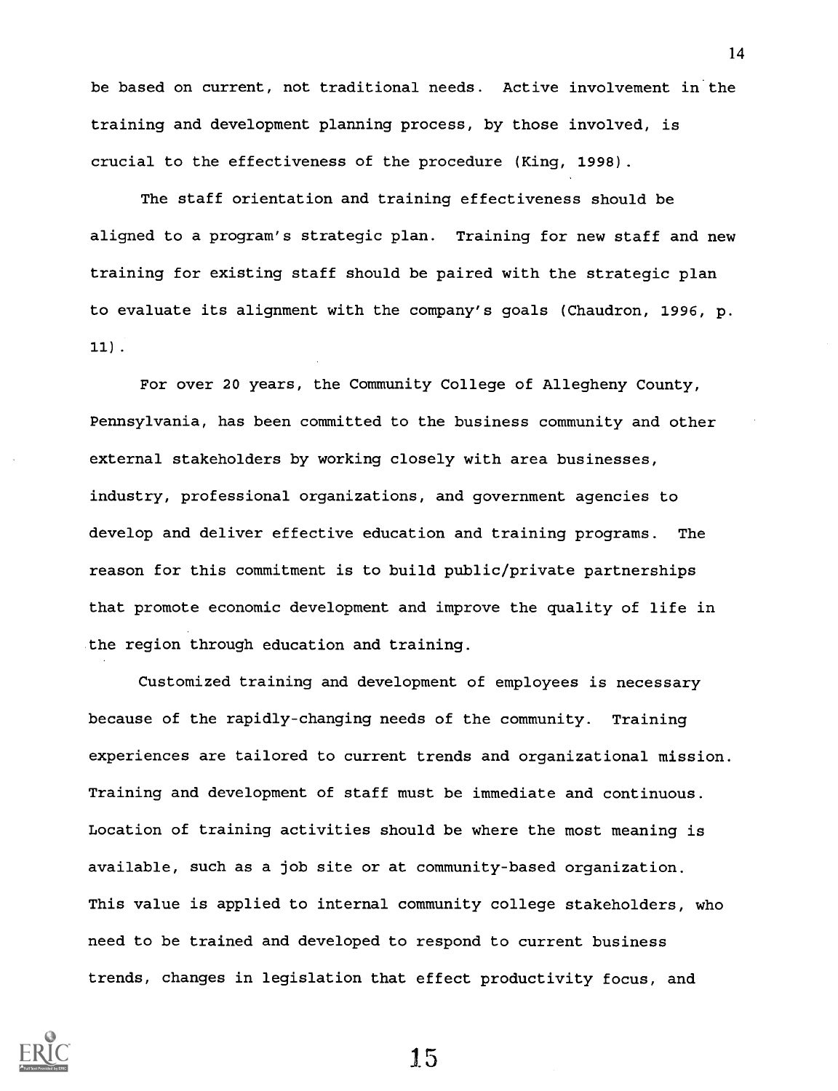be based on current, not traditional needs. Active involvement in the training and development planning process, by those involved, is crucial to the effectiveness of the procedure (King, 1998).

The staff orientation and training effectiveness should be aligned to a program's strategic plan. Training for new staff and new training for existing staff should be paired with the strategic plan to evaluate its alignment with the company's goals (Chaudron, 1996, p. 11) .

For over 20 years, the Community College of Allegheny County, Pennsylvania, has been committed to the business community and other external stakeholders by working closely with area businesses, industry, professional organizations, and government agencies to develop and deliver effective education and training programs. The reason for this commitment is to build public/private partnerships that promote economic development and improve the quality of life in the region through education and training.

Customized training and development of employees is necessary because of the rapidly-changing needs of the community. Training experiences are tailored to current trends and organizational mission. Training and development of staff must be immediate and continuous. Location of training activities should be where the most meaning is available, such as a job site or at community-based organization. This value is applied to internal community college stakeholders, who need to be trained and developed to respond to current business trends, changes in legislation that effect productivity focus, and

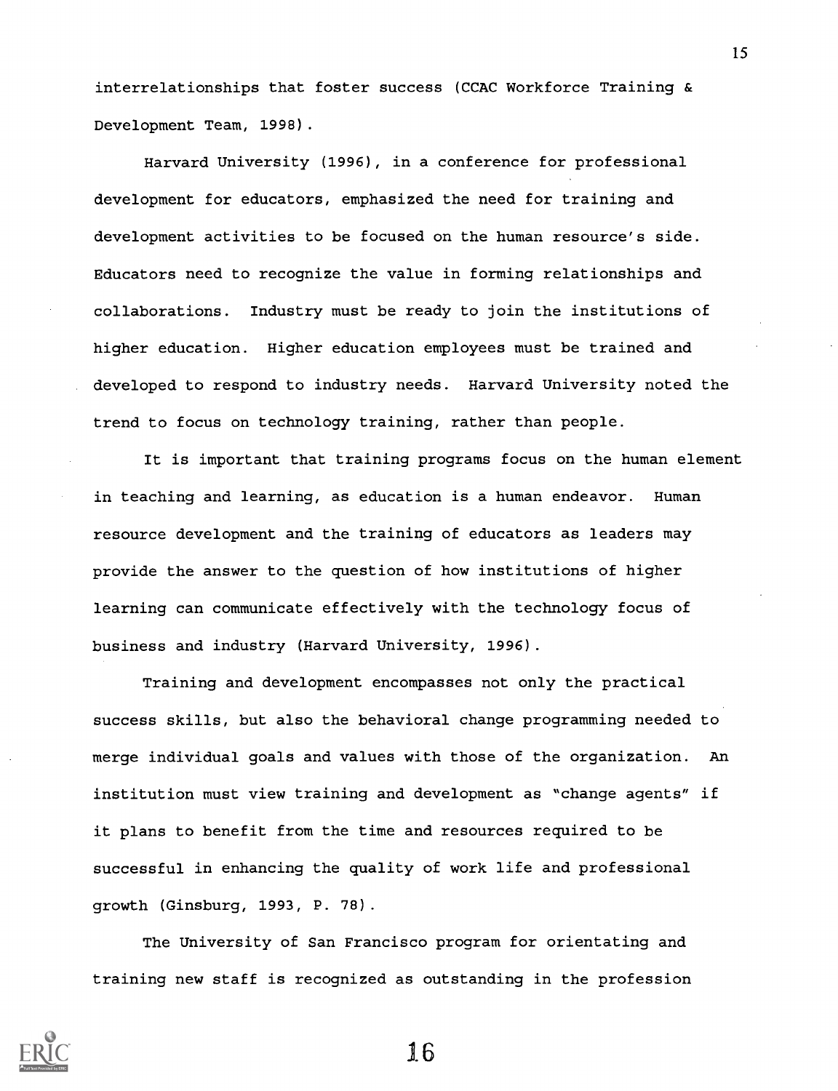interrelationships that foster success (CCAC Workforce Training & Development Team, 1998).

Harvard University (1996), in a conference for professional development for educators, emphasized the need for training and development activities to be focused on the human resource's side. Educators need to recognize the value in forming relationships and collaborations. Industry must be ready to join the institutions of higher education. Higher education employees must be trained and developed to respond to industry needs. Harvard University noted the trend to focus on technology training, rather than people.

It is important that training programs focus on the human element in teaching and learning, as education is a human endeavor. Human resource development and the training of educators as leaders may provide the answer to the question of how institutions of higher learning can communicate effectively with the technology focus of business and industry (Harvard University, 1996).

Training and development encompasses not only the practical success skills, but also the behavioral change programming needed to merge individual goals and values with those of the organization. An institution must view training and development as "change agents" if it plans to benefit from the time and resources required to be successful in enhancing the quality of work life and professional growth (Ginsburg, 1993, P. 78).

The University of San Francisco program for orientating and training new staff is recognized as outstanding in the profession



16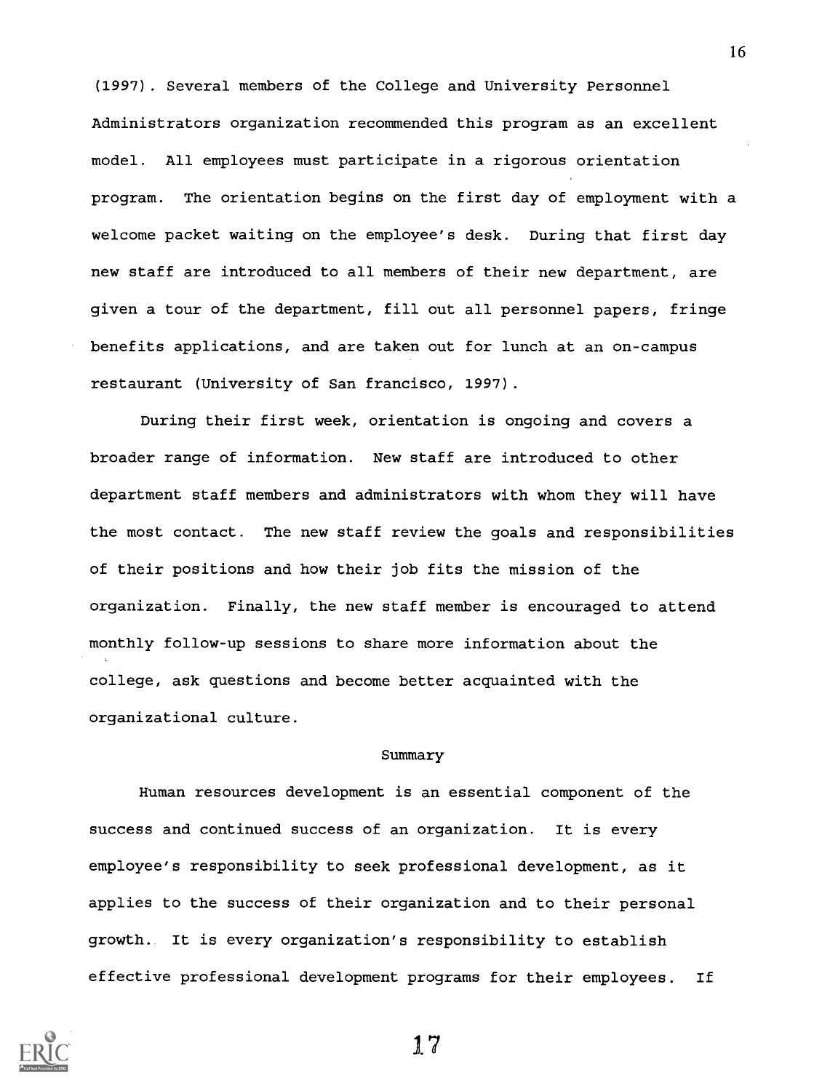(1997). Several members of the College and University Personnel Administrators organization recommended this program as an excellent model. All employees must participate in a rigorous orientation program. The orientation begins on the first day of employment with a welcome packet waiting on the employee's desk. During that first day new staff are introduced to all members of their new department, are given a tour of the department, fill out all personnel papers, fringe benefits applications, and are taken out for lunch at an on-campus restaurant (University of San francisco, 1997).

During their first week, orientation is ongoing and covers a broader range of information. New staff are introduced to other department staff members and administrators with whom they will have the most contact. The new staff review the goals and responsibilities of their positions and how their job fits the mission of the organization. Finally, the new staff member is encouraged to attend monthly follow-up sessions to share more information about the college, ask questions and become better acquainted with the organizational culture.

#### Summary

Human resources development is an essential component of the success and continued success of an organization. It is every employee's responsibility to seek professional development, as it applies to the success of their organization and to their personal growth. It is every organization's responsibility to establish effective professional development programs for their employees. If



17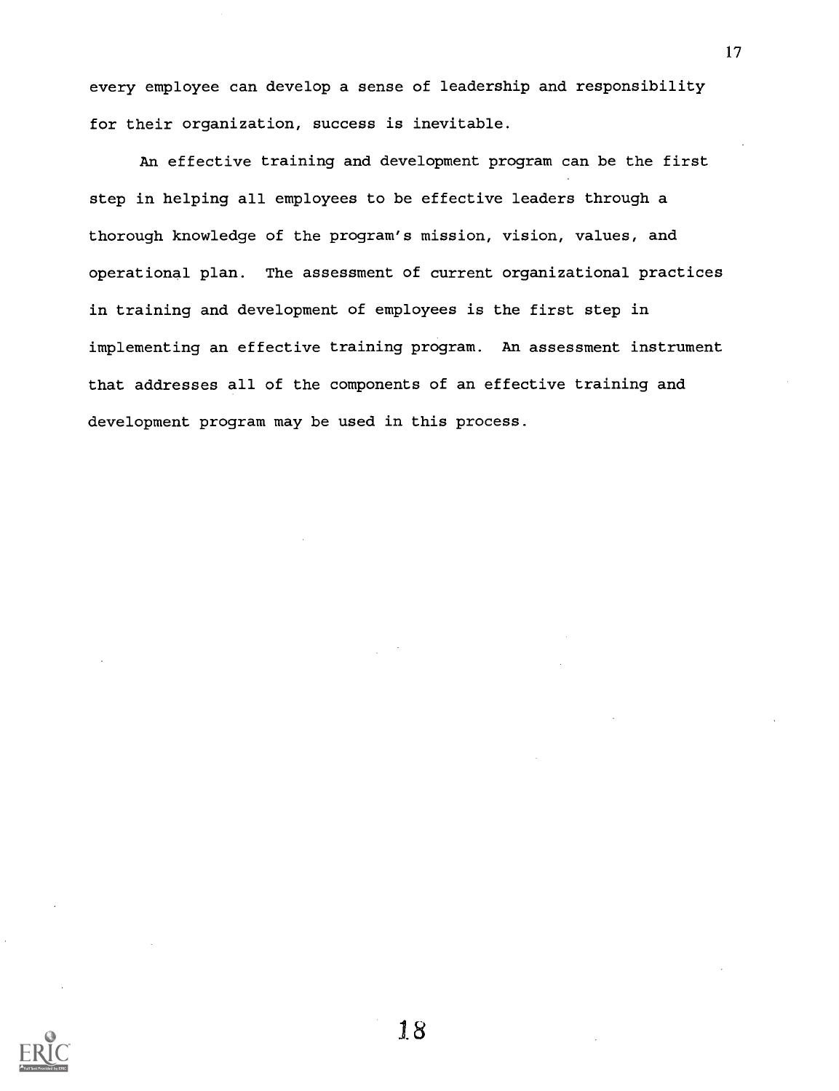every employee can develop a sense of leadership and responsibility for their organization, success is inevitable.

An effective training and development program can be the first step in helping all employees to be effective leaders through a thorough knowledge of the program's mission, vision, values, and operational plan. The assessment of current organizational practices in training and development of employees is the first step in implementing an effective training program. An assessment instrument that addresses all of the components of an effective training and development program may be used in this process.

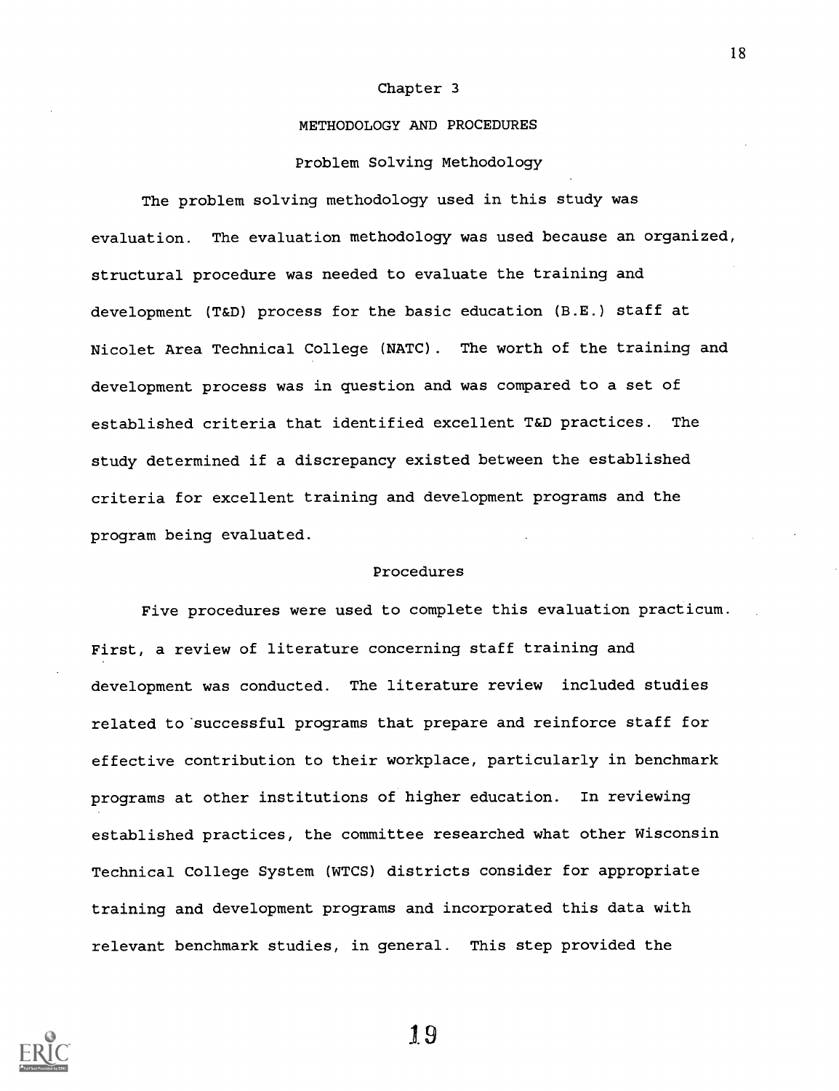#### Chapter 3

#### METHODOLOGY AND PROCEDURES

#### Problem Solving Methodology

The problem solving methodology used in this study was evaluation. The evaluation methodology was used because an organized, structural procedure was needed to evaluate the training and development (T&D) process for the basic education (B.E.) staff at Nicolet Area Technical College (NATC). The worth of the training and development process was in question and was compared to a set of established criteria that identified excellent T&D practices. The study determined if a discrepancy existed between the established criteria for excellent training and development programs and the program being evaluated.

#### Procedures

Five procedures were used to complete this evaluation practicum. First, a review of literature concerning staff training and development was conducted. The literature review included studies related to 'successful programs that prepare and reinforce staff for effective contribution to their workplace, particularly in benchmark programs at other institutions of higher education. In reviewing established practices, the committee researched what other Wisconsin Technical College System (WTCS) districts consider for appropriate training and development programs and incorporated this data with relevant benchmark studies, in general. This step provided the



19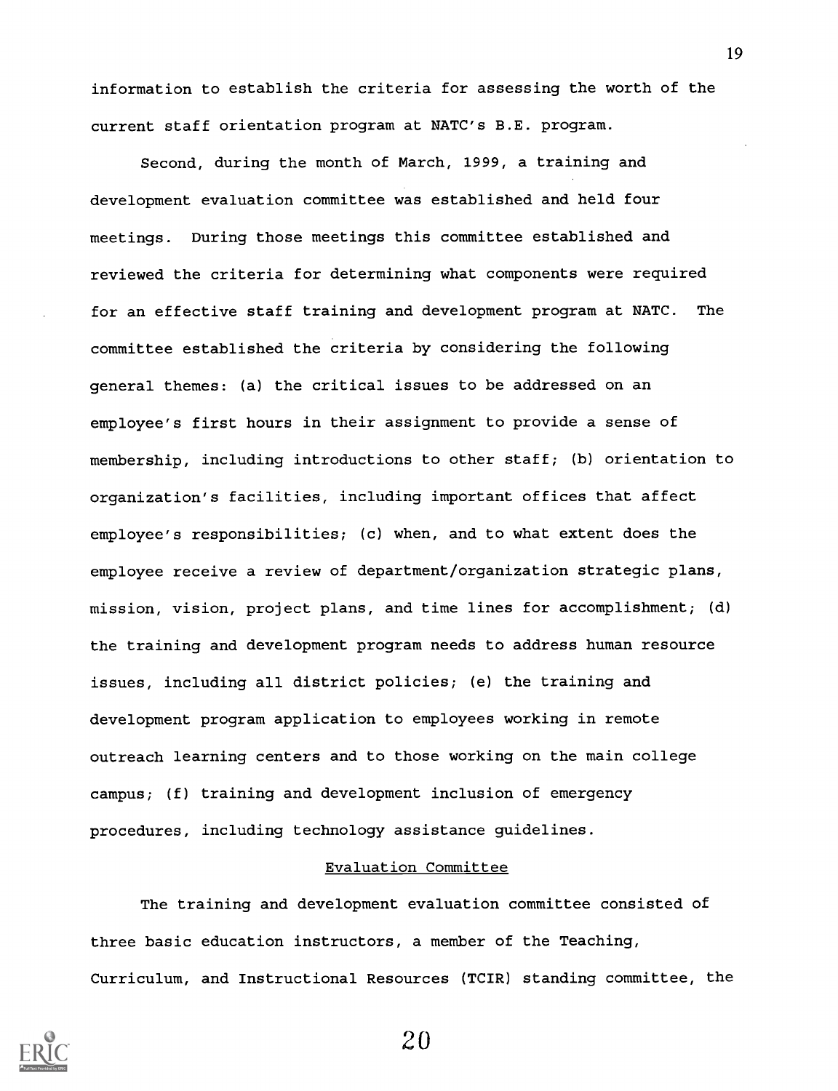information to establish the criteria for assessing the worth of the current staff orientation program at NATC's B.E. program.

Second, during the month of March, 1999, a training and development evaluation committee was established and held four meetings. During those meetings this committee established and reviewed the criteria for determining what components were required for an effective staff training and development program at NATC. The committee established the criteria by considering the following general themes: (a) the critical issues to be addressed on an employee's first hours in their assignment to provide a sense of membership, including introductions to other staff; (b) orientation to organization's facilities, including important offices that affect employee's responsibilities; (c) when, and to what extent does the employee receive a review of department/organization strategic plans, mission, vision, project plans, and time lines for accomplishment; (d) the training and development program needs to address human resource issues, including all district policies; (e) the training and development program application to employees working in remote outreach learning centers and to those working on the main college campus; (f) training and development inclusion of emergency procedures, including technology assistance guidelines.

#### Evaluation Committee

The training and development evaluation committee consisted of three basic education instructors, a member of the Teaching, Curriculum, and Instructional Resources (TCIR) standing committee, the



20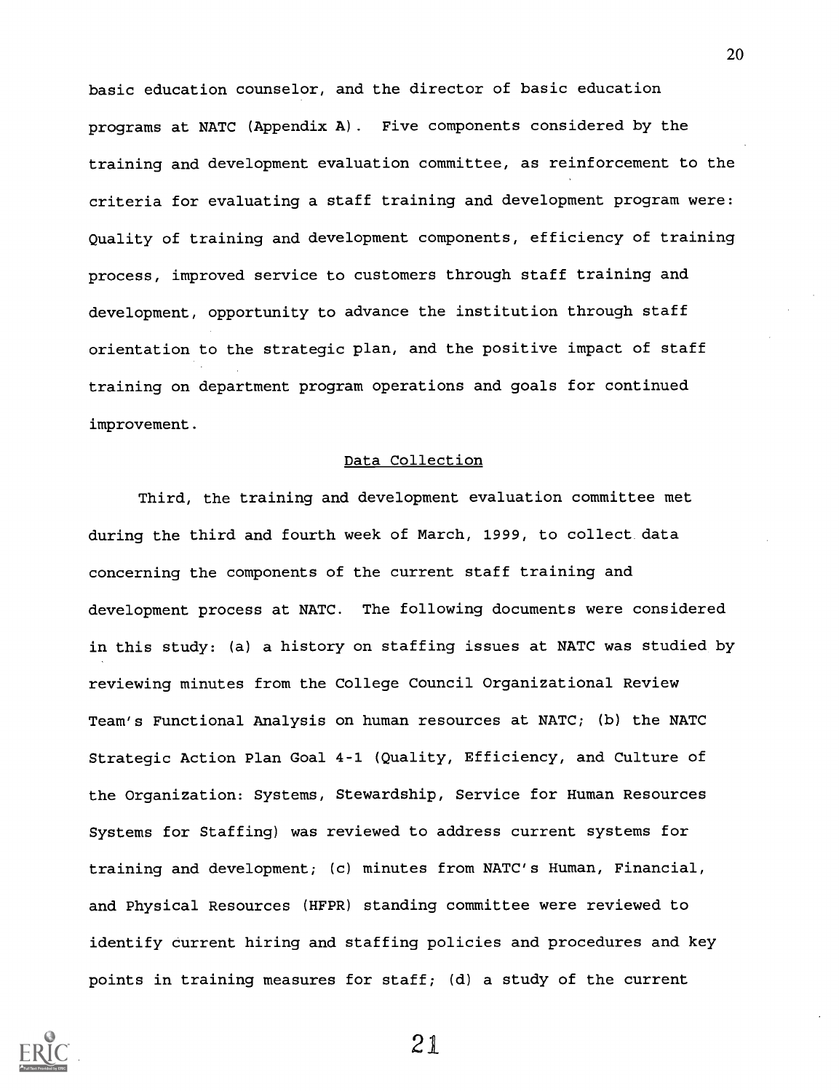basic education counselor, and the director of basic education programs at NATC (Appendix A). Five components considered by the training and development evaluation committee, as reinforcement to the criteria for evaluating a staff training and development program were: Quality of training and development components, efficiency of training process, improved service to customers through staff training and development, opportunity to advance the institution through staff orientation to the strategic plan, and the positive impact of staff training on department program operations and goals for continued improvement.

#### Data Collection

Third, the training and development evaluation committee met during the third and fourth week of March, 1999, to collect data concerning the components of the current staff training and development process at NATC. The following documents were considered in this study: (a) a history on staffing issues at NATC was studied by reviewing minutes from the College Council Organizational Review Team's Functional Analysis on human resources at NATC; (b) the NATC Strategic Action Plan Goal 4-1 (Quality, Efficiency, and Culture of the Organization: Systems, Stewardship, Service for Human Resources Systems for Staffing) was reviewed to address current systems for training and development; (c) minutes from NATC's Human, Financial, and Physical Resources (HFPR) standing committee were reviewed to identify current hiring and staffing policies and procedures and key points in training measures for staff; (d) a study of the current



21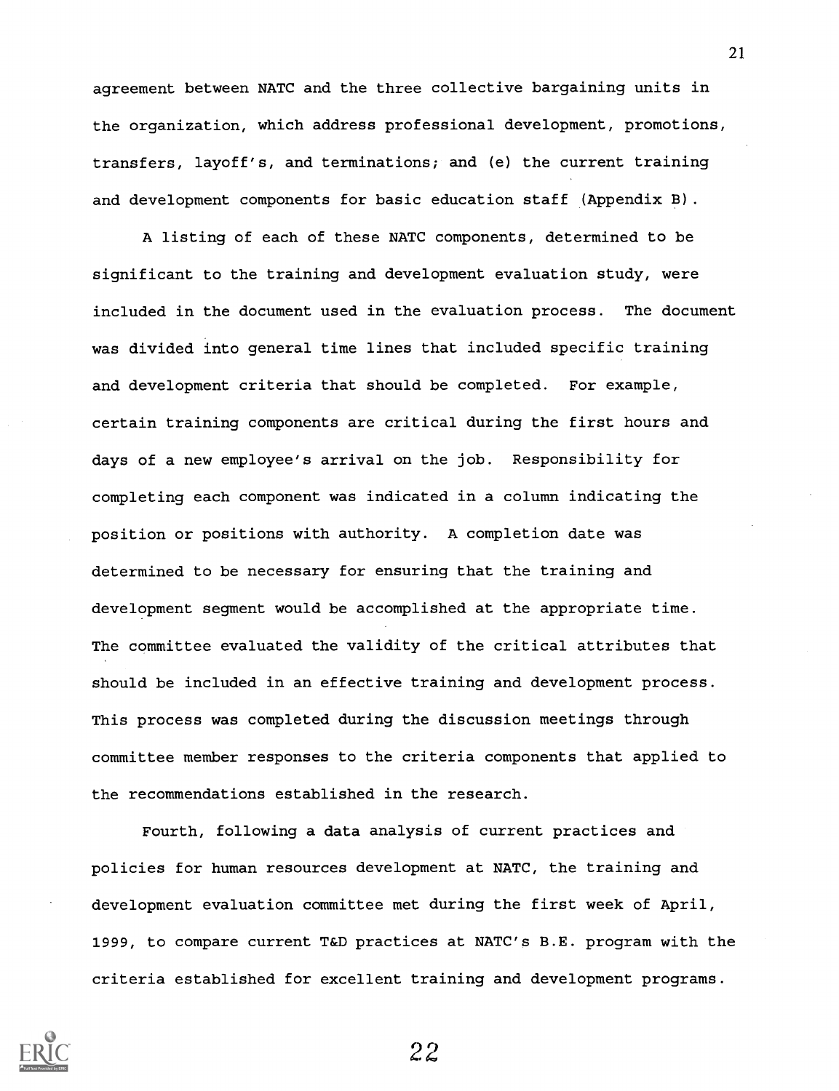agreement between NATC and the three collective bargaining units in the organization, which address professional development, promotions, transfers, layoff's, and terminations; and (e) the current training and development components for basic education staff (Appendix B).

A listing of each of these NATC components, determined to be significant to the training and development evaluation study, were included in the document used in the evaluation process. The document was divided into general time lines that included specific training and development criteria that should be completed. For example, certain training components are critical during the first hours and days of a new employee's arrival on the job. Responsibility for completing each component was indicated in a column indicating the position or positions with authority. A completion date was determined to be necessary for ensuring that the training and development segment would be accomplished at the appropriate time. The committee evaluated the validity of the critical attributes that should be included in an effective training and development process. This process was completed during the discussion meetings through committee member responses to the criteria components that applied to the recommendations established in the research.

Fourth, following a data analysis of current practices and policies for human resources development at NATC, the training and development evaluation committee met during the first week of April, 1999, to compare current T&D practices at NATC's B.E. program with the criteria established for excellent training and development programs.



22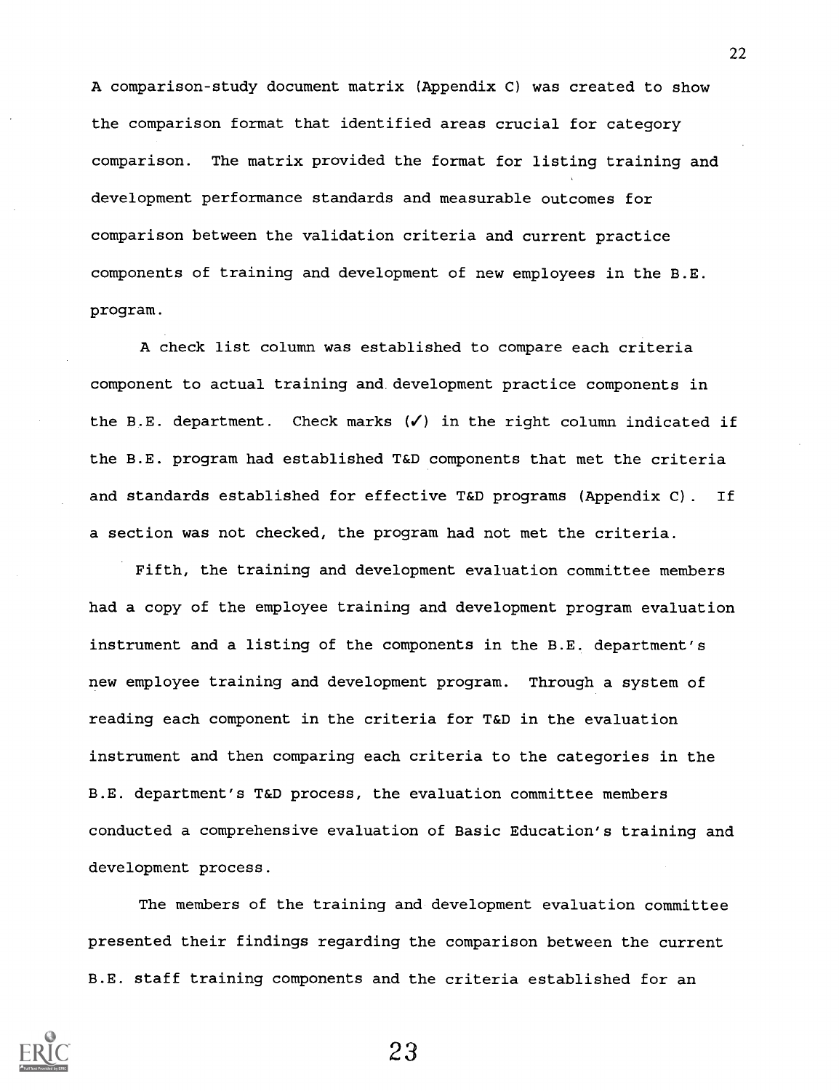A comparison-study document matrix (Appendix C) was created to show the comparison format that identified areas crucial for category comparison. The matrix provided the format for listing training and development performance standards and measurable outcomes for comparison between the validation criteria and current practice components of training and development of new employees in the B.E. program.

A check list column was established to compare each criteria component to actual training and development practice components in the B.E. department. Check marks  $(\checkmark)$  in the right column indicated if the B.E. program had established T&D components that met the criteria and standards established for effective T&D programs (Appendix C). If a section was not checked, the program had not met the criteria.

Fifth, the training and development evaluation committee members had a copy of the employee training and development program evaluation instrument and a listing of the components in the B.E. department's new employee training and development program. Through a system of reading each component in the criteria for T&D in the evaluation instrument and then comparing each criteria to the categories in the B.E. department's T&D process, the evaluation committee members conducted a comprehensive evaluation of Basic Education's training and development process.

The members of the training and development evaluation committee presented their findings regarding the comparison between the current B.E. staff training components and the criteria established for an



23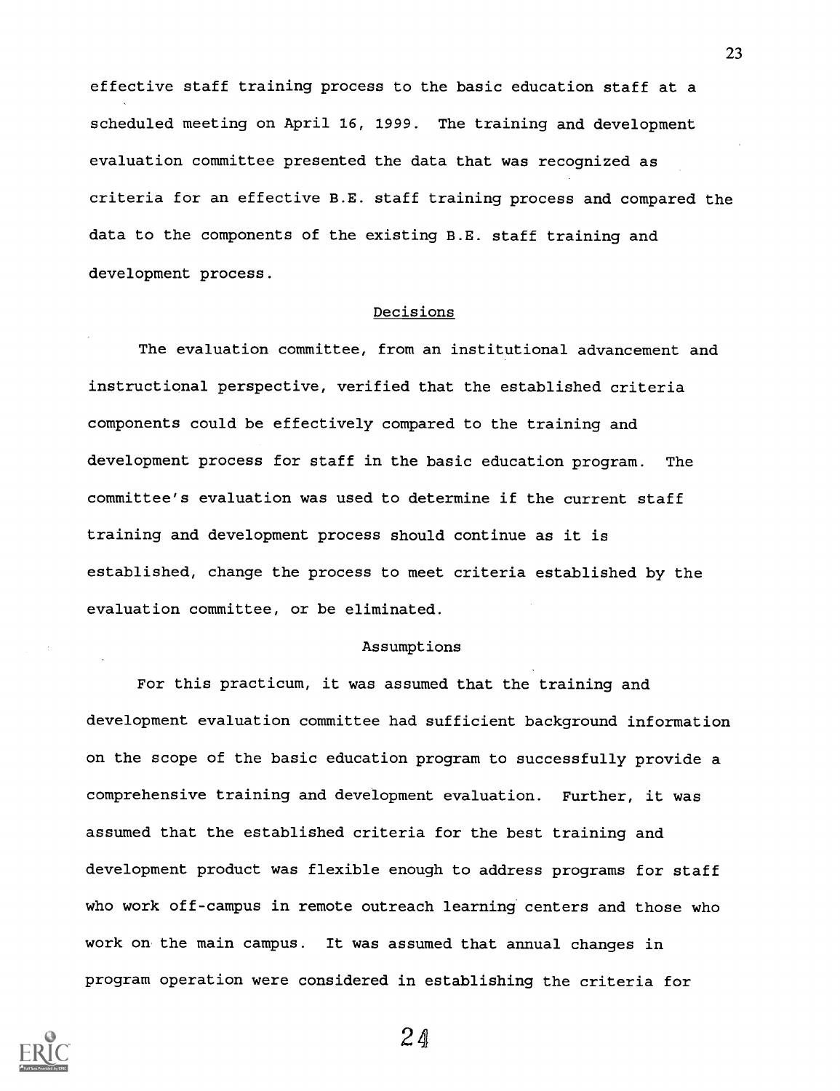effective staff training process to the basic education staff at a scheduled meeting on April 16, 1999. The training and development evaluation committee presented the data that was recognized as criteria for an effective B.E. staff training process and compared the data to the components of the existing B.E. staff training and development process.

#### Decisions

The evaluation committee, from an institutional advancement and instructional perspective, verified that the established criteria components could be effectively compared to the training and development process for staff in the basic education program. The committee's evaluation was used to determine if the current staff training and development process should continue as it is established, change the process to meet criteria established by the evaluation committee, or be eliminated.

#### Assumptions

For this practicum, it was assumed that the training and development evaluation committee had sufficient background information on the scope of the basic education program to successfully provide a comprehensive training and development evaluation. Further, it was assumed that the established criteria for the best training and development product was flexible enough to address programs for staff who work off-campus in remote outreach learning centers and those who work on the main campus. It was assumed that annual changes in program operation were considered in establishing the criteria for

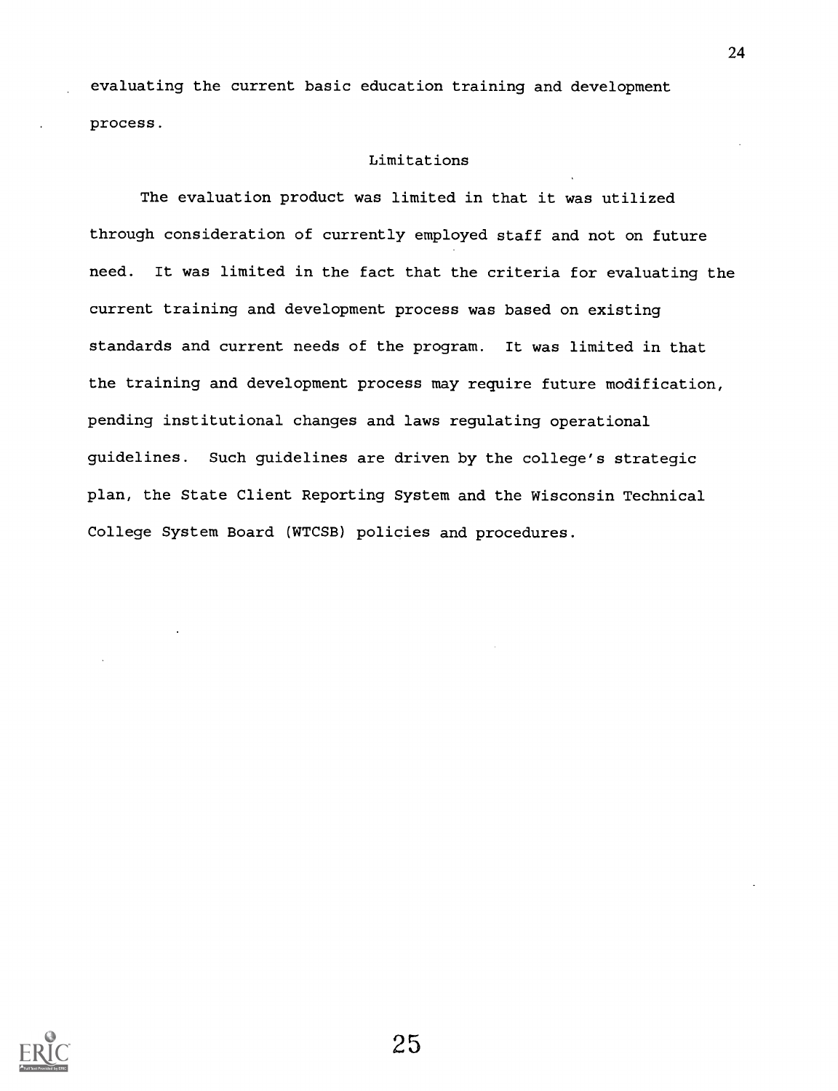evaluating the current basic education training and development process.

#### Limitations

The evaluation product was limited in that it was utilized through consideration of currently employed staff and not on future need. It was limited in the fact that the criteria for evaluating the current training and development process was based on existing standards and current needs of the program. It was limited in that the training and development process may require future modification, pending institutional changes and laws regulating operational guidelines. Such guidelines are driven by the college's strategic plan, the State Client Reporting System and the Wisconsin Technical College System Board (WTCSB) policies and procedures.

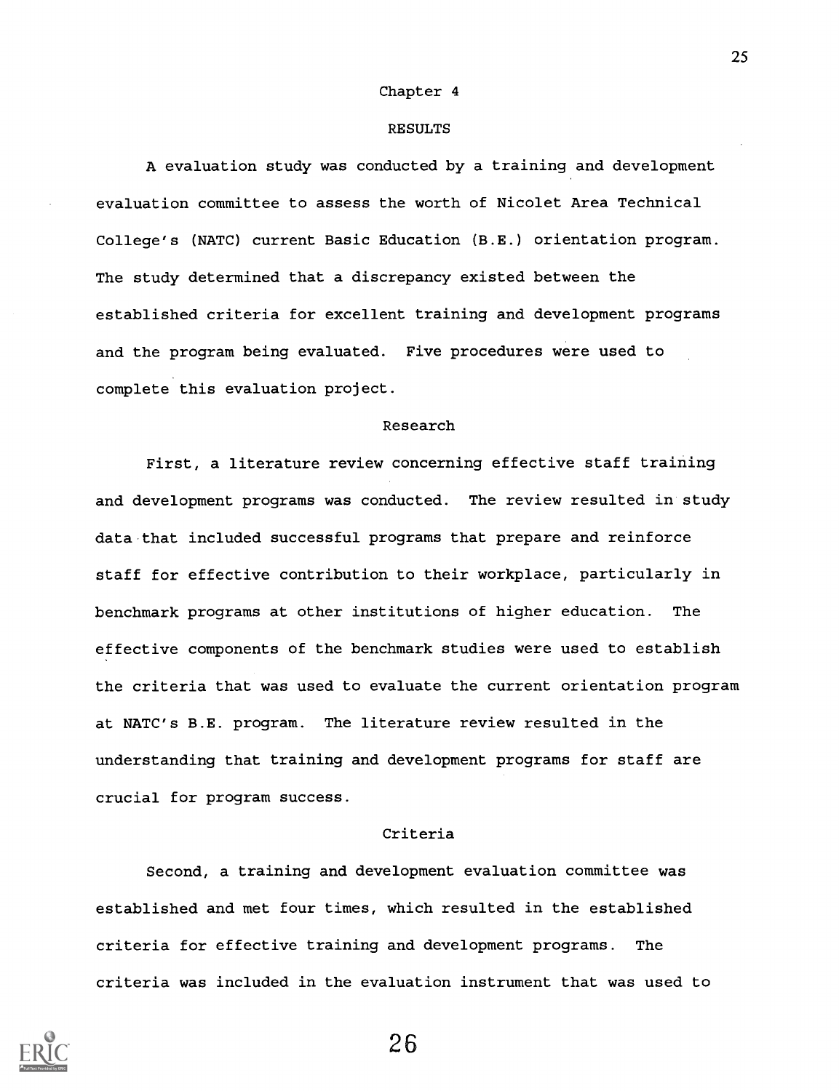#### Chapter 4

#### RESULTS

A evaluation study was conducted by a training and development evaluation committee to assess the worth of Nicolet Area Technical College's (NATC) current Basic Education (B.E.) orientation program. The study determined that a discrepancy existed between the established criteria for excellent training and development programs and the program being evaluated. Five procedures were used to complete this evaluation project.

#### Research

First, a literature review concerning effective staff training and development programs was conducted. The review resulted in study data that included successful programs that prepare and reinforce staff for effective contribution to their workplace, particularly in benchmark programs at other institutions of higher education. The effective components of the benchmark studies were used to establish the criteria that was used to evaluate the current orientation program at NATC's B.E. program. The literature review resulted in the understanding that training and development programs for staff are crucial for program success.

#### Criteria

Second, a training and development evaluation committee was established and met four times, which resulted in the established criteria for effective training and development programs. The criteria was included in the evaluation instrument that was used to



26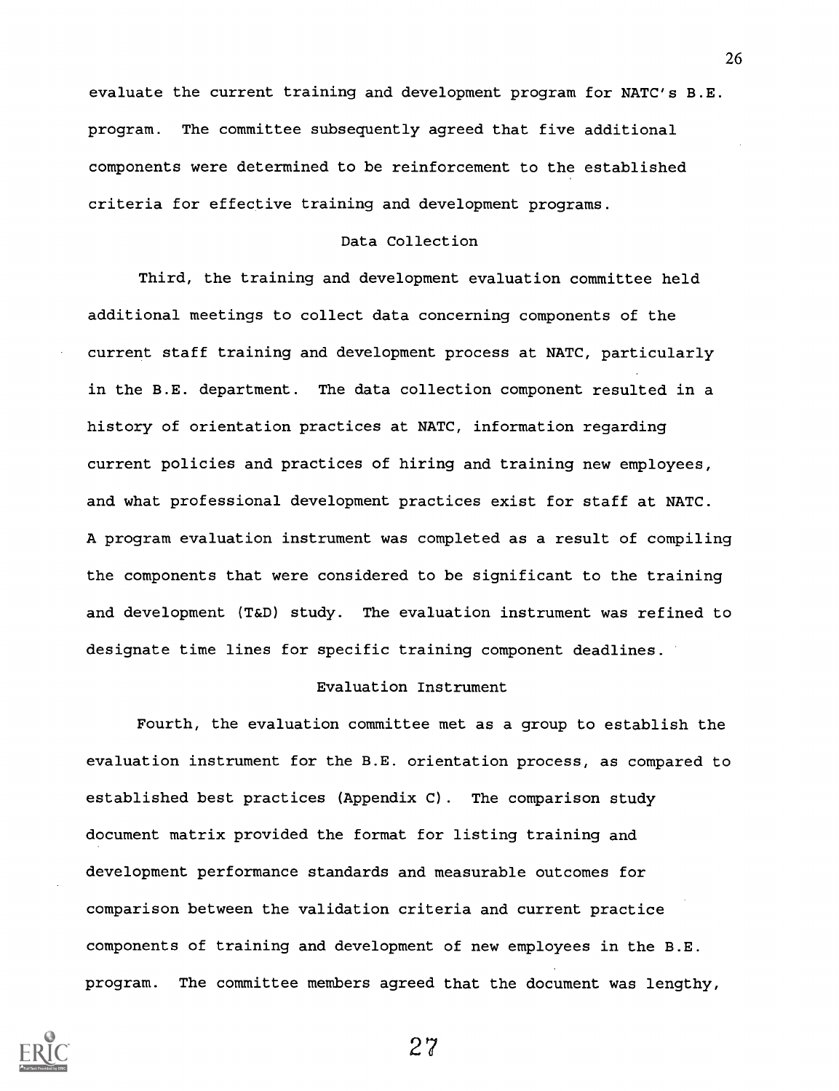evaluate the current training and development program for NATC's B.E. program. The committee subsequently agreed that five additional components were determined to be reinforcement to the established criteria for effective training and development programs.

#### Data Collection

Third, the training and development evaluation committee held additional meetings to collect data concerning components of the current staff training and development process at NATC, particularly in the B.E. department. The data collection component resulted in a history of orientation practices at NATC, information regarding current policies and practices of hiring and training new employees, and what professional development practices exist for staff at NATC. A program evaluation instrument was completed as a result of compiling the components that were considered to be significant to the training and development (T&D) study. The evaluation instrument was refined to designate time lines for specific training component deadlines.

#### Evaluation Instrument

Fourth, the evaluation committee met as a group to establish the evaluation instrument for the B.E. orientation process, as compared to established best practices (Appendix C). The comparison study document matrix provided the format for listing training and development performance standards and measurable outcomes for comparison between the validation criteria and current practice components of training and development of new employees in the B.E. program. The committee members agreed that the document was lengthy,

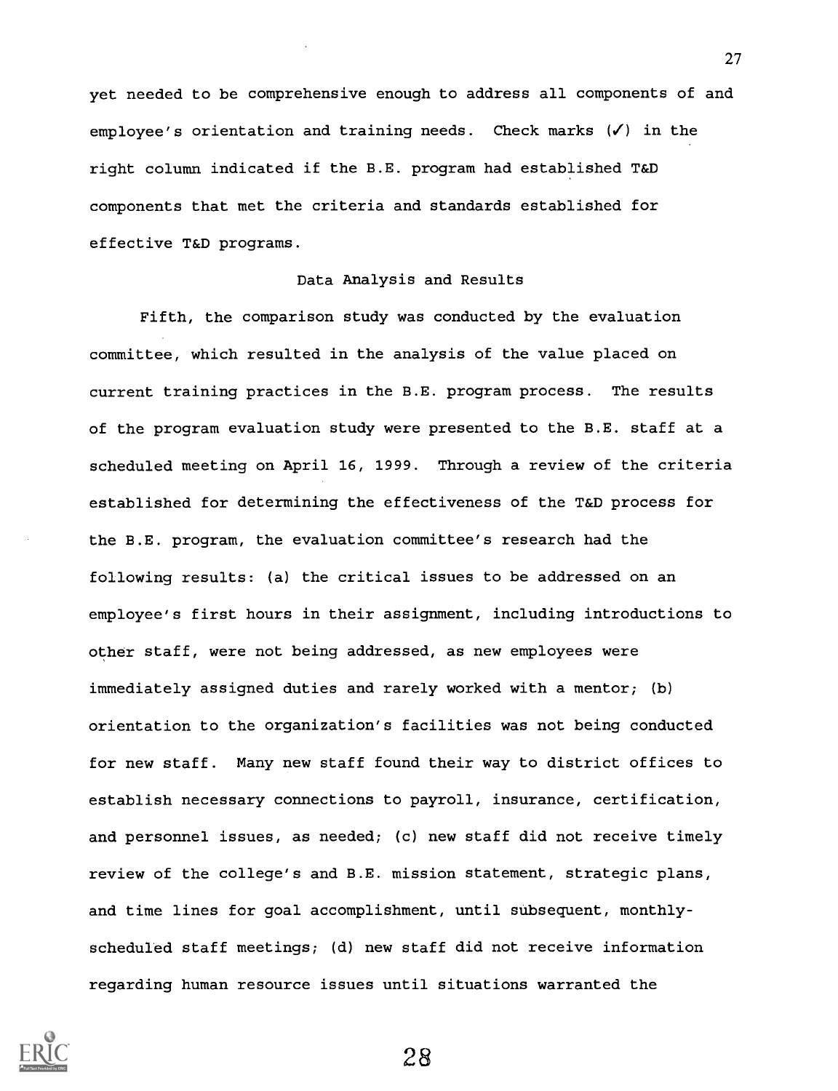yet needed to be comprehensive enough to address all components of and employee's orientation and training needs. Check marks  $(V)$  in the right column indicated if the B.E. program had established T&D components that met the criteria and standards established for effective T&D programs.

#### Data Analysis and Results

Fifth, the comparison study was conducted by the evaluation committee, which resulted in the analysis of the value placed on current training practices in the B.E. program process. The results of the program evaluation study were presented to the B.E. staff at a scheduled meeting on April 16, 1999. Through a review of the criteria established for determining the effectiveness of the T&D process for the B.E. program, the evaluation committee's research had the following results: (a) the critical issues to be addressed on an employee's first hours in their assignment, including introductions to other staff, were not being addressed, as new employees were immediately assigned duties and rarely worked with a mentor; (b) orientation to the organization's facilities was not being conducted for new staff. Many new staff found their way to district offices to establish necessary connections to payroll, insurance, certification, and personnel issues, as needed; (c) new staff did not receive timely review of the college's and B.E. mission statement, strategic plans, and time lines for goal accomplishment, until subsequent, monthlyscheduled staff meetings; (d) new staff did not receive information regarding human resource issues until situations warranted the

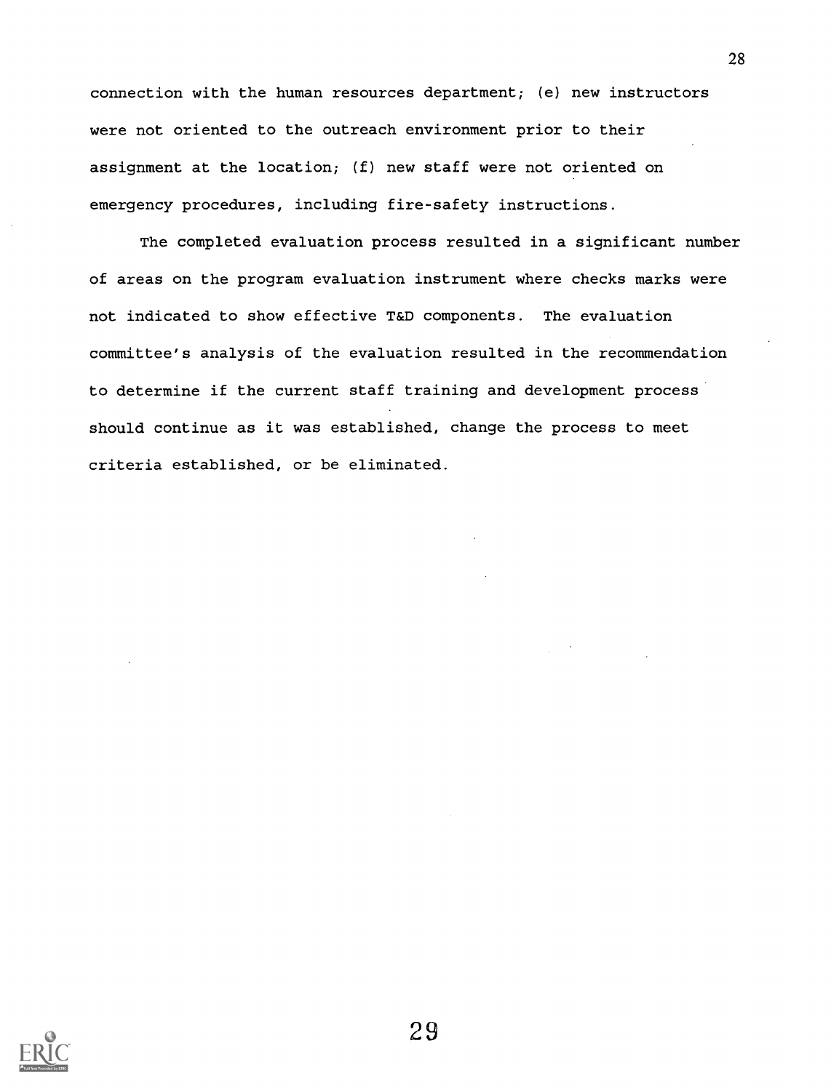connection with the human resources department; (e) new instructors were not oriented to the outreach environment prior to their assignment at the location; (f) new staff were not oriented on emergency procedures, including fire-safety instructions.

The completed evaluation process resulted in a significant number of areas on the program evaluation instrument where checks marks were not indicated to show effective T&D components. The evaluation committee's analysis of the evaluation resulted in the recommendation to determine if the current staff training and development process should continue as it was established, change the process to meet criteria established, or be eliminated.

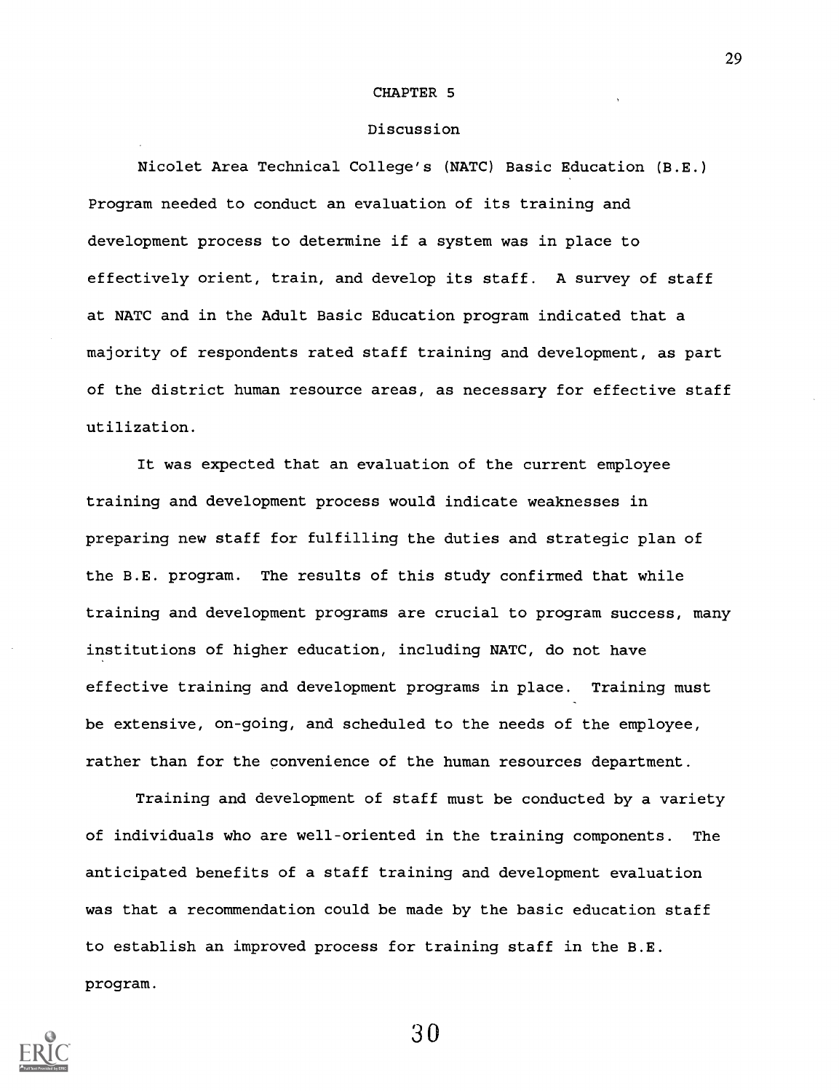#### CHAPTER 5

#### Discussion

Nicolet Area Technical College's (NATC) Basic Education (B.E.) Program needed to conduct an evaluation of its training and development process to determine if a system was in place to effectively orient, train, and develop its staff. A survey of staff at NATC and in the Adult Basic Education program indicated that a majority of respondents rated staff training and development, as part of the district human resource areas, as necessary for effective staff utilization.

It was expected that an evaluation of the current employee training and development process would indicate weaknesses in preparing new staff for fulfilling the duties and strategic plan of the B.E. program. The results of this study confirmed that while training and development programs are crucial to program success, many institutions of higher education, including NATC, do not have effective training and development programs in place. Training must be extensive, on-going, and scheduled to the needs of the employee, rather than for the convenience of the human resources department.

Training and development of staff must be conducted by a variety of individuals who are well-oriented in the training components. The anticipated benefits of a staff training and development evaluation was that a recommendation could be made by the basic education staff to establish an improved process for training staff in the B.E. program.

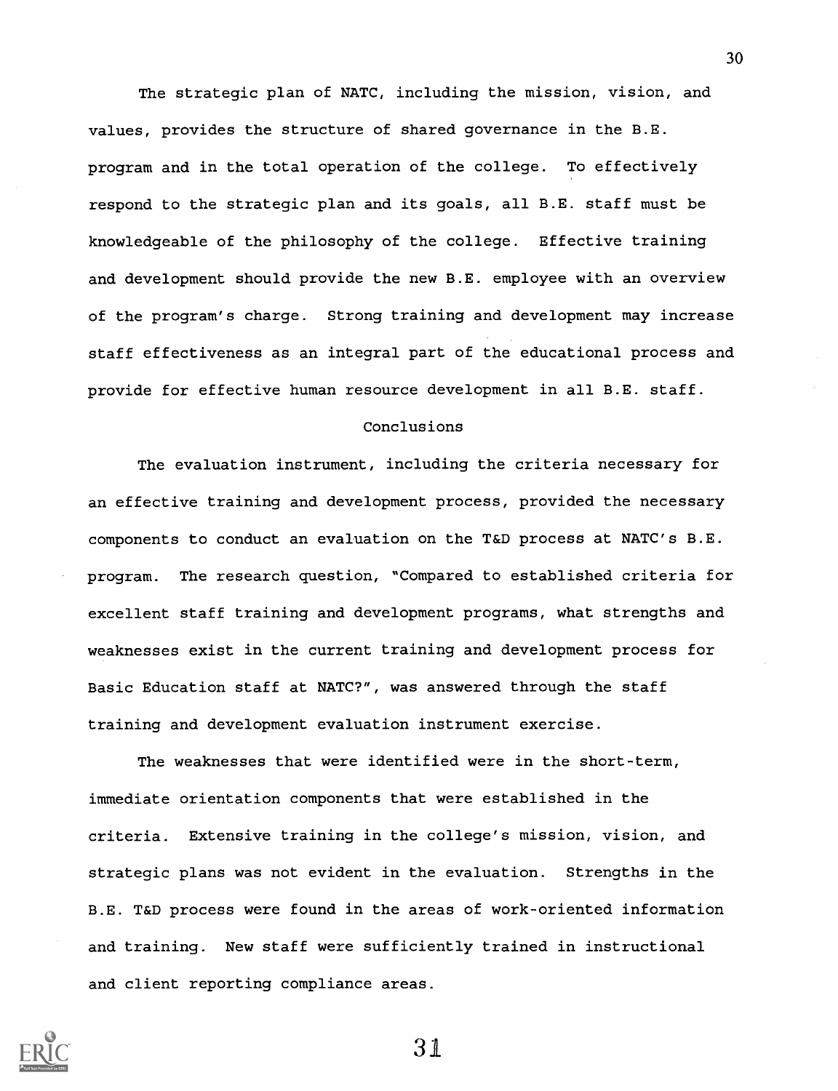The strategic plan of NATC, including the mission, vision, and values, provides the structure of shared governance in the B.E. program and in the total operation of the college. To effectively respond to the strategic plan and its goals, all B.E. staff must be knowledgeable of the philosophy of the college. Effective training and development should provide the new B.E. employee with an overview of the program's charge. Strong training and development may increase staff effectiveness as an integral part of the educational process and provide for effective human resource development in all B.E. staff.

#### Conclusions

The evaluation instrument, including the criteria necessary for an effective training and development process, provided the necessary components to conduct an evaluation on the T&D process at NATC's B.E. program. The research question, "Compared to established criteria for excellent staff training and development programs, what strengths and weaknesses exist in the current training and development process for Basic Education staff at NATC?", was answered through the staff training and development evaluation instrument exercise.

The weaknesses that were identified were in the short-term, immediate orientation components that were established in the criteria. Extensive training in the college's mission, vision, and strategic plans was not evident in the evaluation. Strengths in the B.E. T&D process were found in the areas of work-oriented information and training. New staff were sufficiently trained in instructional and client reporting compliance areas.



31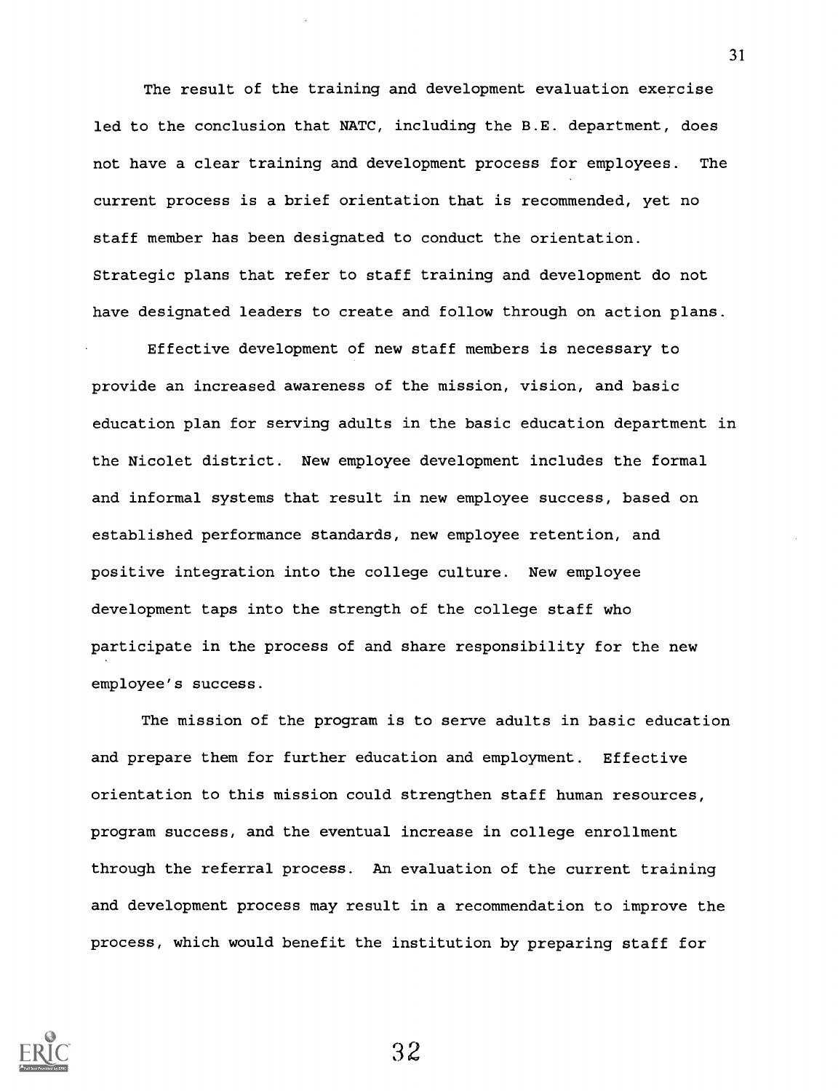The result of the training and development evaluation exercise led to the conclusion that NATC, including the B.E. department, does not have a clear training and development process for employees. The current process is a brief orientation that is recommended, yet no staff member has been designated to conduct the orientation. Strategic plans that refer to staff training and development do not have designated leaders to create and follow through on action plans.

Effective development of new staff members is necessary to provide an increased awareness of the mission, vision, and basic education plan for serving adults in the basic education department in the Nicolet district. New employee development includes the formal and informal systems that result in new employee success, based on established performance standards, new employee retention, and positive integration into the college culture. New employee development taps into the strength of the college staff who participate in the process of and share responsibility for the new employee's success.

The mission of the program is to serve adults in basic education and prepare them for further education and employment. Effective orientation to this mission could strengthen staff human resources, program success, and the eventual increase in college enrollment through the referral process. An evaluation of the current training and development process may result in a recommendation to improve the process, which would benefit the institution by preparing staff for



32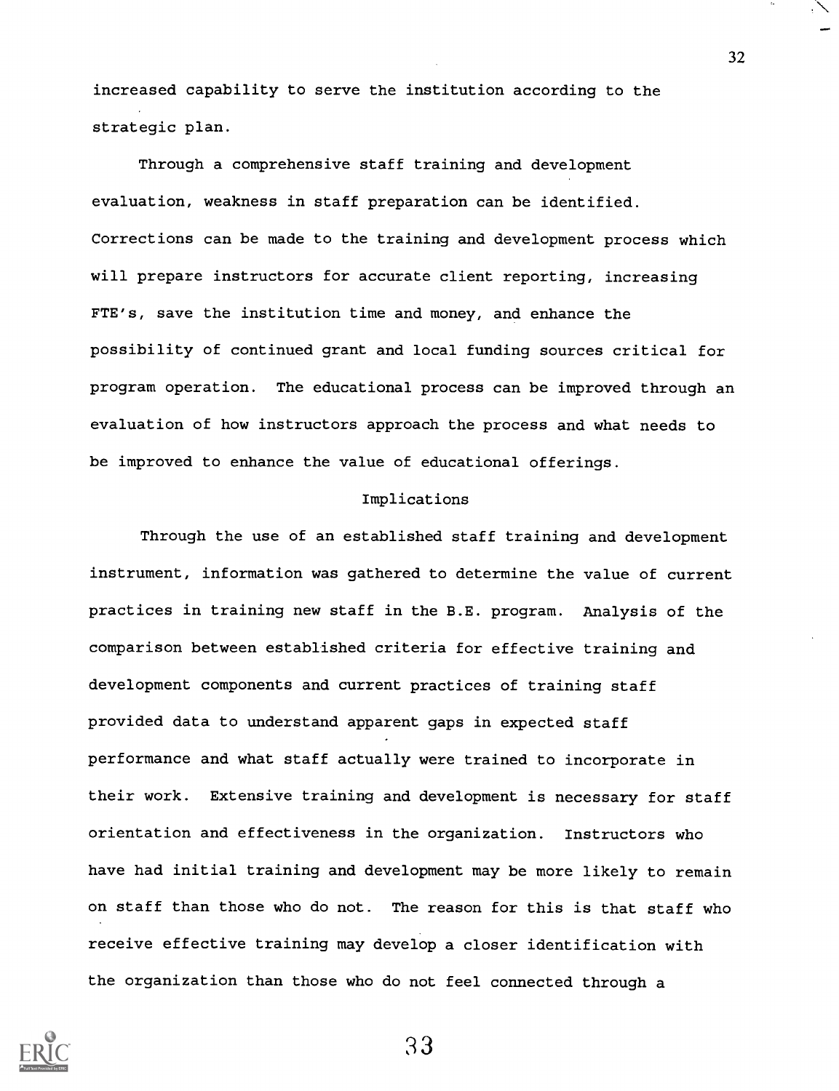increased capability to serve the institution according to the strategic plan.

Through a comprehensive staff training and development evaluation, weakness in staff preparation can be identified. Corrections can be made to the training and development process which will prepare instructors for accurate client reporting, increasing FTE's, save the institution time and money, and enhance the possibility of continued grant and local funding sources critical for program operation. The educational process can be improved through an evaluation of how instructors approach the process and what needs to be improved to enhance the value of educational offerings.

#### Implications

Through the use of an established staff training and development instrument, information was gathered to determine the value of current practices in training new staff in the B.E. program. Analysis of the comparison between established criteria for effective training and development components and current practices of training staff provided data to understand apparent gaps in expected staff performance and what staff actually were trained to incorporate in their work. Extensive training and development is necessary for staff orientation and effectiveness in the organization. Instructors who have had initial training and development may be more likely to remain on staff than those who do not. The reason for this is that staff who receive effective training may develop a closer identification with the organization than those who do not feel connected through a



33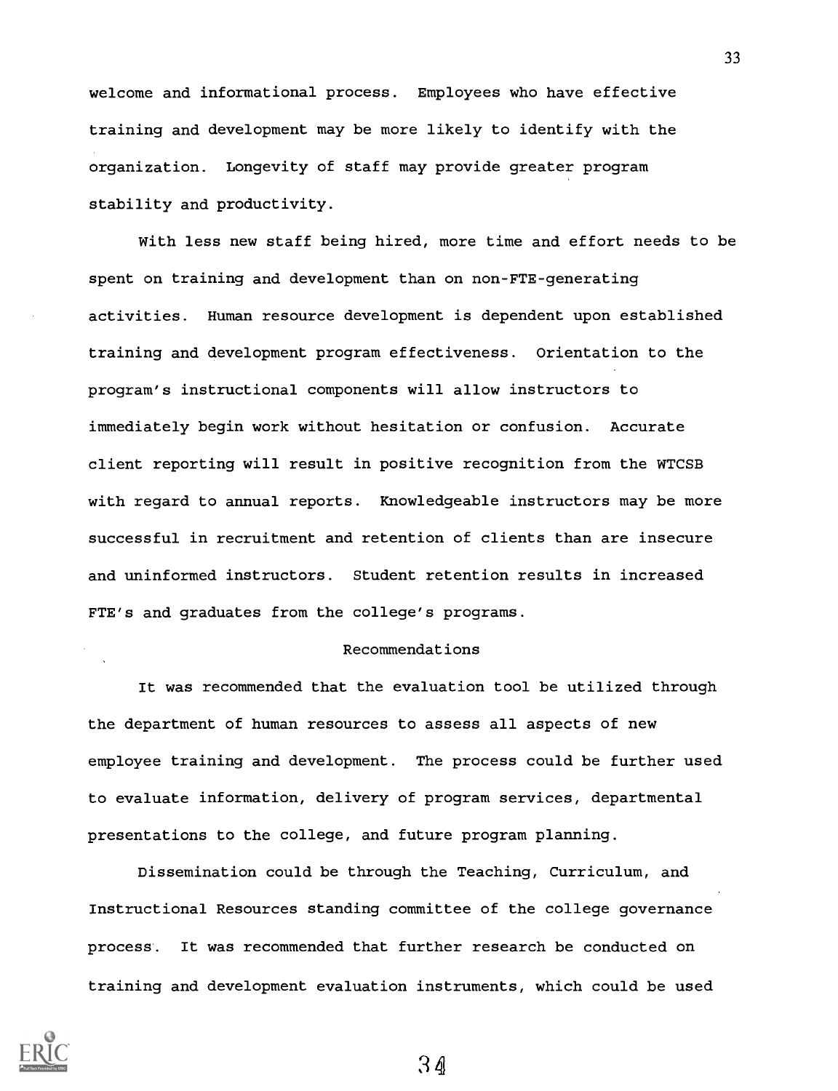welcome and informational process. Employees who have effective training and development may be more likely to identify with the organization. Longevity of staff may provide greater program stability and productivity.

With less new staff being hired, more time and effort needs to be spent on training and development than on non-FTE-generating activities. Human resource development is dependent upon established training and development program effectiveness. Orientation to the program's instructional components will allow instructors to immediately begin work without hesitation or confusion. Accurate client reporting will result in positive recognition from the WTCSB with regard to annual reports. Knowledgeable instructors may be more successful in recruitment and retention of clients than are insecure and uninformed instructors. Student retention results in increased FTE's and graduates from the college's programs.

#### Recommendations

It was recommended that the evaluation tool be utilized through the department of human resources to assess all aspects of new employee training and development. The process could be further used to evaluate information, delivery of program services, departmental presentations to the college, and future program planning.

Dissemination could be through the Teaching, Curriculum, and Instructional Resources standing committee of the college governance process. It was recommended that further research be conducted on training and development evaluation instruments, which could be used



34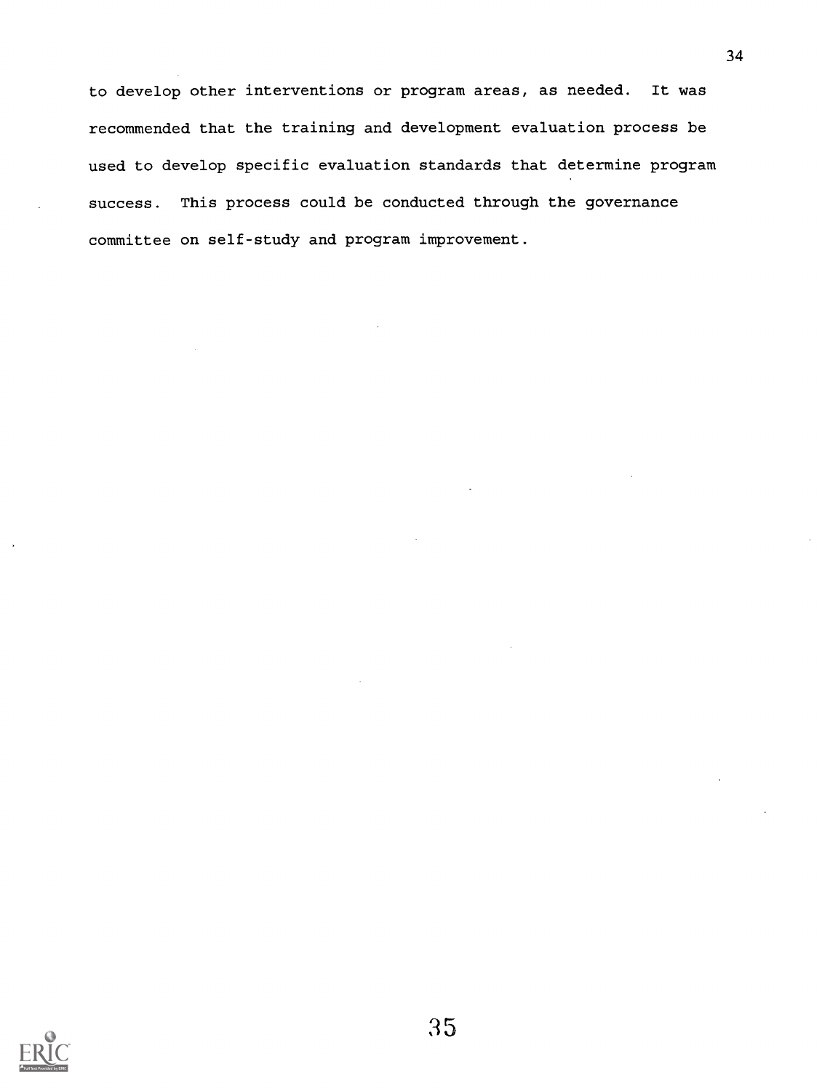to develop other interventions or program areas, as needed. It was recommended that the training and development evaluation process be used to develop specific evaluation standards that determine program success. This process could be conducted through the governance committee on self-study and program improvement.

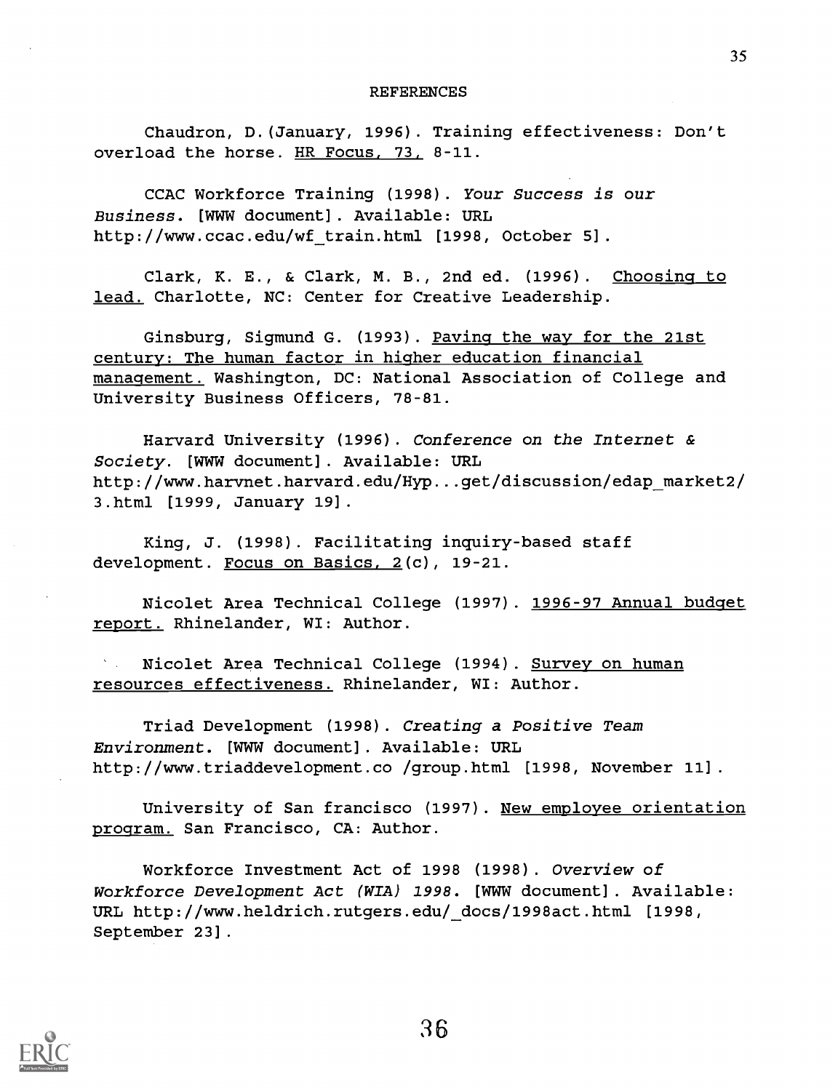#### REFERENCES

Chaudron, D.(January, 1996). Training effectiveness: Don't overload the horse. HR Focus, 73, 8-11.

CCAC Workforce Training (1998). Your Success is our Business. [WWW document]. Available: URL http://www.ccac.edu/wf train.html [1998, October 5].

Clark, K. E., & Clark, M. B., 2nd ed. (1996). Choosing to lead. Charlotte, NC: Center for Creative Leadership.

Ginsburg, Sigmund G. (1993). Paving the way for the 21st century: The human factor in higher education financial management. Washington, DC: National Association of College and University Business Officers, 78-81.

Harvard University (1996). Conference on the Internet & Society. [WWW document]. Available: URL http://www.harvnet.harvard.edu/Hyp...get/discussion/edap\_market2/ 3.html [1999, January 19].

King, J. (1998). Facilitating inquiry-based staff development. Focus on Basics, 2(c), 19-21.

Nicolet Area Technical College (1997). 1996-97 Annual budget report. Rhinelander, WI: Author.

Nicolet Area Technical College (1994). Survey on human resources effectiveness. Rhinelander, WI: Author.

Triad Development (1998). Creating a Positive Team Environment. [WWW document]. Available: URL http://www.triaddevelopment.co /group.html [1998, November 11].

University of San francisco (1997). New employee orientation program. San Francisco, CA: Author.

Workforce Investment Act of 1998 (1998). Overview of Workforce Development Act (WIA) 1998. [WWW document]. Available: URL http://www.heldrich.rutgers.edu/ docs/1998act.html [1998, September 23].

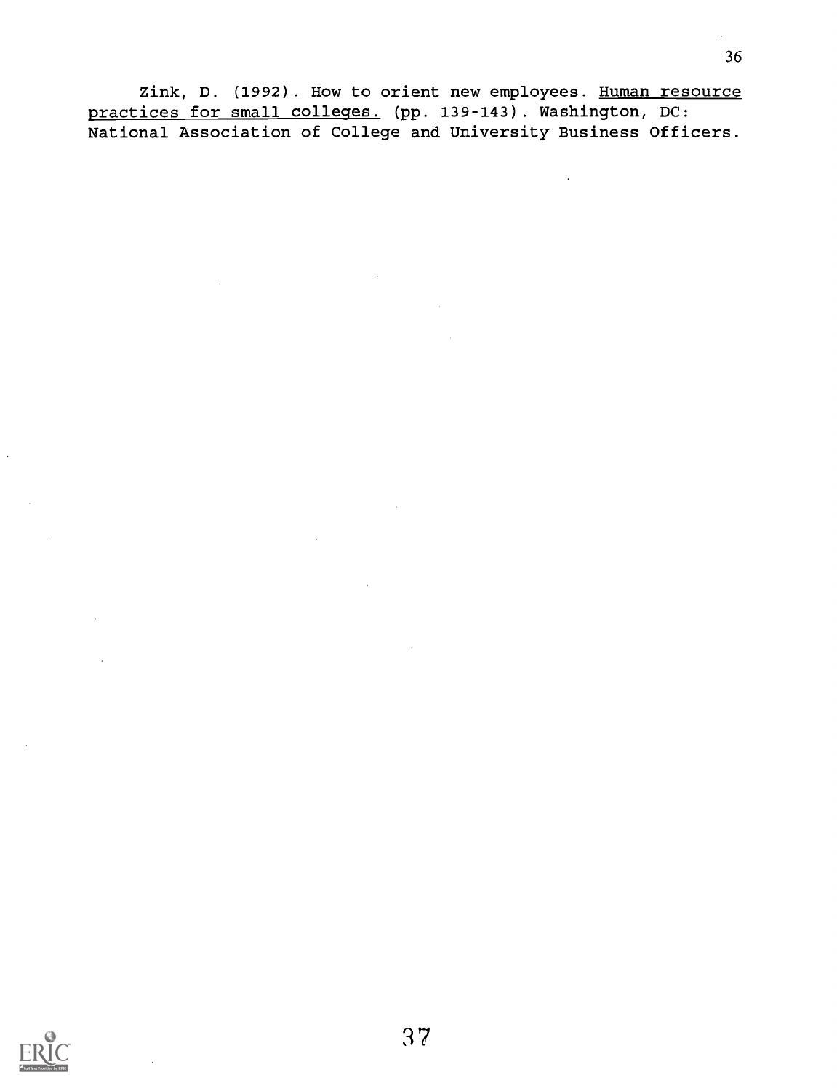Zink, D. (1992). How to orient new employees. Human resource practices for small colleges. (pp. 139-143). Washington, DC: National Association of College and University Business Officers.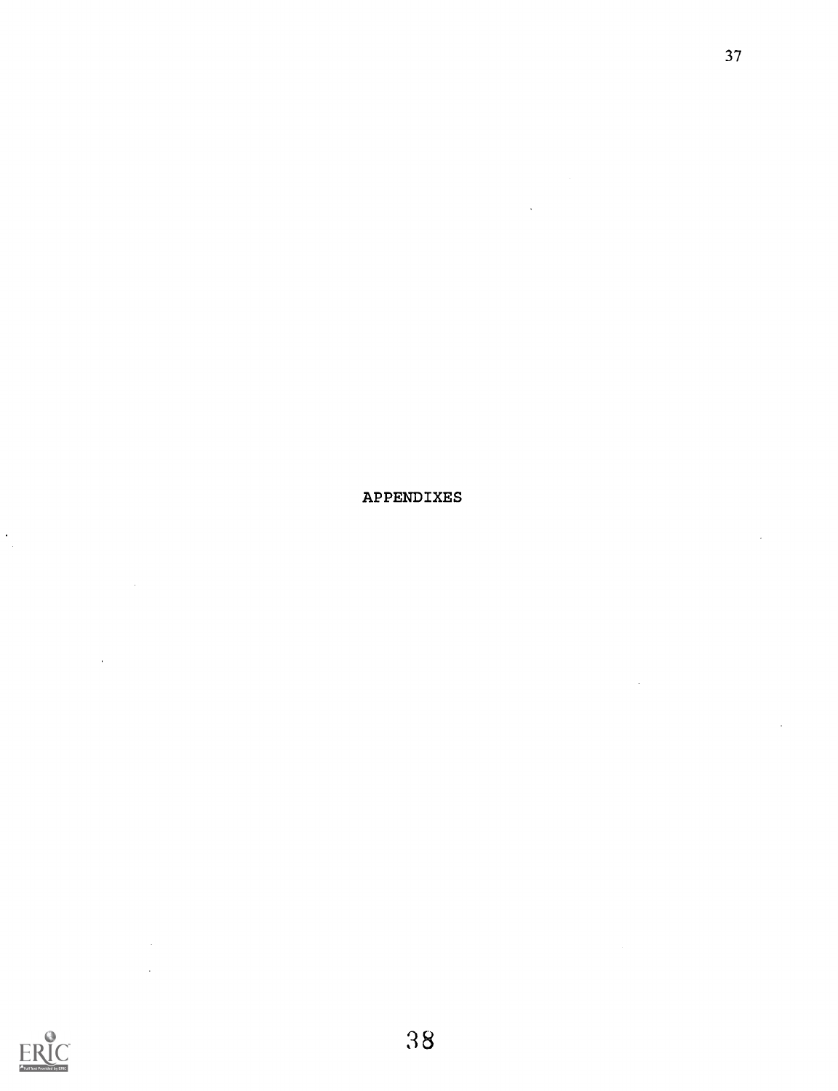APPENDIXES



 $\ddot{\cdot}$ 

 $\sim 10$ 

 $\bar{x}$ ÷.

 $\bar{a}$ 

 $\ddot{\phantom{a}}$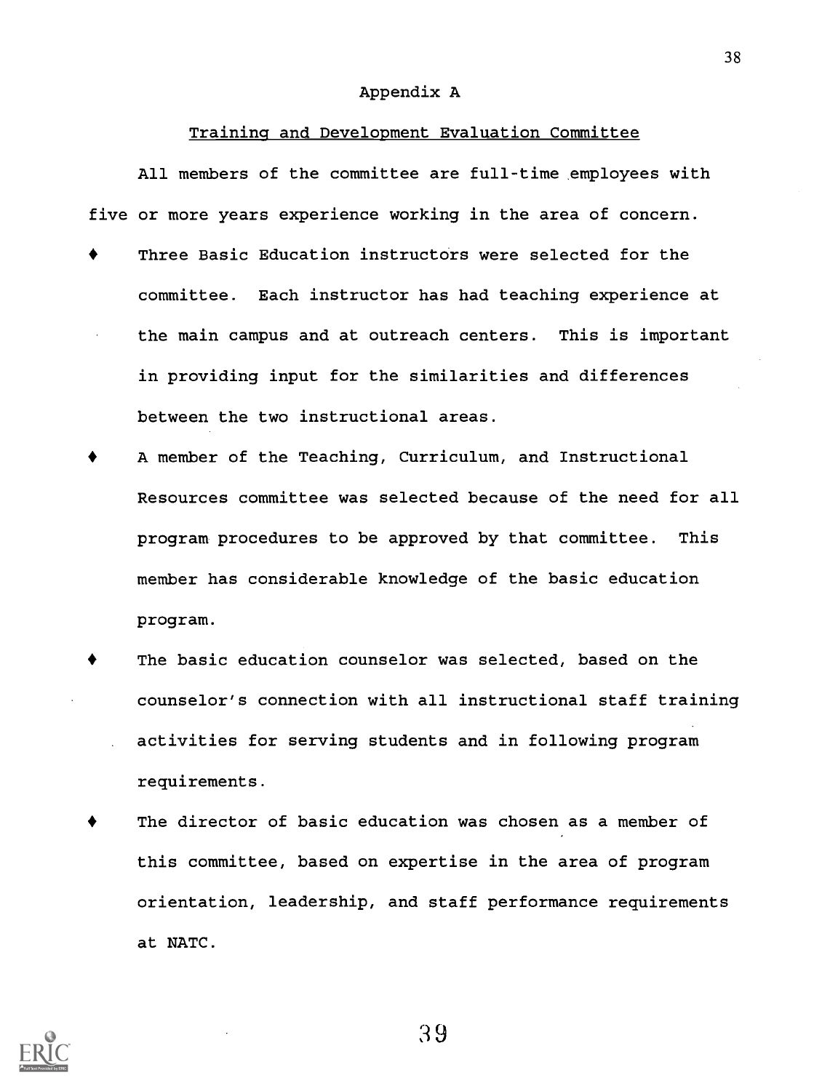#### Appendix A

#### Training and Development Evaluation Committee

All members of the committee are full-time employees with five or more years experience working in the area of concern.

- Three Basic Education instructors were selected for the committee. Each instructor has had teaching experience at the main campus and at outreach centers. This is important in providing input for the similarities and differences between the two instructional areas.
- A member of the Teaching, Curriculum, and Instructional Resources committee was selected because of the need for all program procedures to be approved by that committee. This member has considerable knowledge of the basic education program.
- The basic education counselor was selected, based on the counselor's connection with all instructional staff training activities for serving students and in following program requirements.
- The director of basic education was chosen as a member of this committee, based on expertise in the area of program orientation, leadership, and staff performance requirements at NATC.



39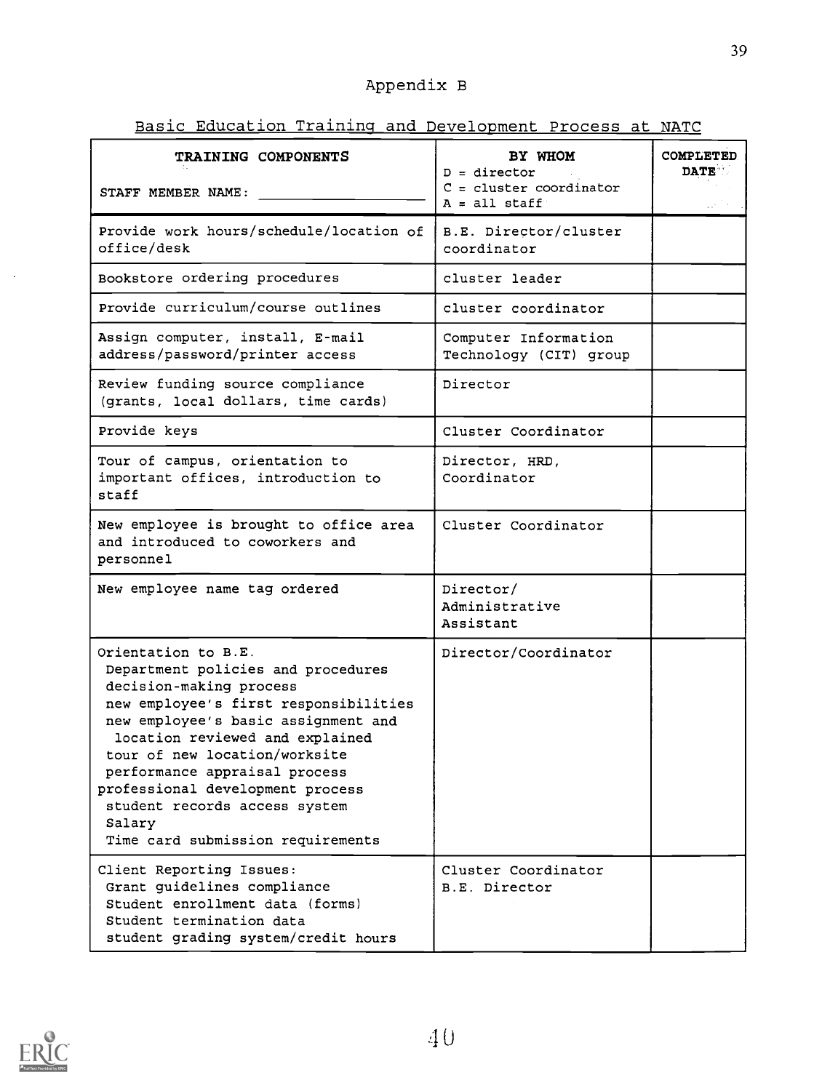## Appendix B

Basic Education Training and Development Process at NATC

| TRAINING COMPONENTS                                                                                                                                                                                                                                                                                                                                                                           | BY WHOM                                                        | COMPLETED   |
|-----------------------------------------------------------------------------------------------------------------------------------------------------------------------------------------------------------------------------------------------------------------------------------------------------------------------------------------------------------------------------------------------|----------------------------------------------------------------|-------------|
| STAFF MEMBER NAME:                                                                                                                                                                                                                                                                                                                                                                            | $D =$ director<br>$C = cluster coordinates$<br>$A = a11$ staff | <b>DATE</b> |
| Provide work hours/schedule/location of<br>office/desk                                                                                                                                                                                                                                                                                                                                        | B.E. Director/cluster<br>coordinator                           |             |
| Bookstore ordering procedures                                                                                                                                                                                                                                                                                                                                                                 | cluster leader                                                 |             |
| Provide curriculum/course outlines                                                                                                                                                                                                                                                                                                                                                            | cluster coordinator                                            |             |
| Assign computer, install, E-mail<br>address/password/printer access                                                                                                                                                                                                                                                                                                                           | Computer Information<br>Technology (CIT) group                 |             |
| Review funding source compliance<br>(grants, local dollars, time cards)                                                                                                                                                                                                                                                                                                                       | Director                                                       |             |
| Provide keys                                                                                                                                                                                                                                                                                                                                                                                  | Cluster Coordinator                                            |             |
| Tour of campus, orientation to<br>important offices, introduction to<br>staff                                                                                                                                                                                                                                                                                                                 | Director, HRD,<br>Coordinator                                  |             |
| New employee is brought to office area<br>and introduced to coworkers and<br>personnel                                                                                                                                                                                                                                                                                                        | Cluster Coordinator                                            |             |
| New employee name tag ordered                                                                                                                                                                                                                                                                                                                                                                 | Director/<br>Administrative<br>Assistant                       |             |
| Orientation to B.E.<br>Department policies and procedures<br>decision-making process<br>new employee's first responsibilities<br>new employee's basic assignment and<br>location reviewed and explained<br>tour of new location/worksite<br>performance appraisal process<br>professional development process<br>student records access system<br>Salary<br>Time card submission requirements | Director/Coordinator                                           |             |
| Client Reporting Issues:<br>Grant guidelines compliance<br>Student enrollment data (forms)<br>Student termination data<br>student grading system/credit hours                                                                                                                                                                                                                                 | Cluster Coordinator<br>B.E. Director                           |             |

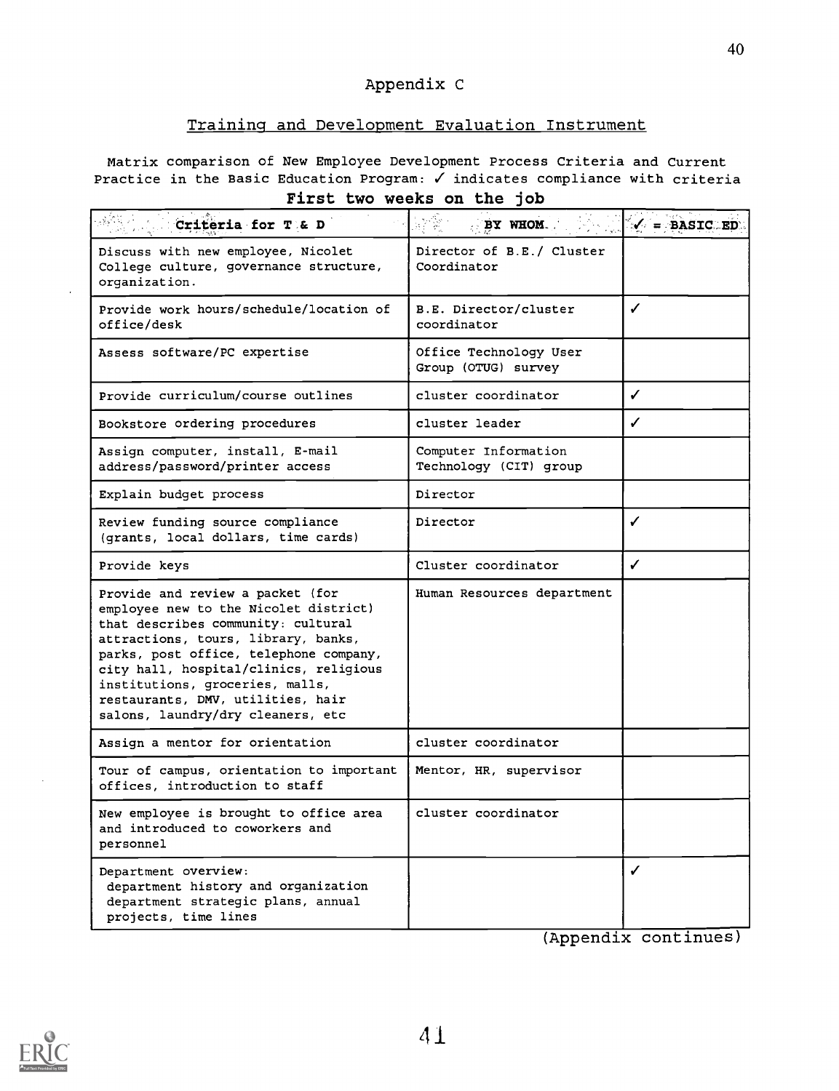### Appendix C

#### Training and Development Evaluation Instrument

Matrix comparison of New Employee Development Process Criteria and Current Practice in the Basic Education Program:  $\checkmark$  indicates compliance with criteria First two weeks on the job

| Criteria for T & D                                                                                                                                                                                                                                                                                                                                      | $\frac{1}{2}$<br>BY WHOM.                      | $\checkmark$ = BASIC ED |
|---------------------------------------------------------------------------------------------------------------------------------------------------------------------------------------------------------------------------------------------------------------------------------------------------------------------------------------------------------|------------------------------------------------|-------------------------|
| Discuss with new employee, Nicolet<br>College culture, governance structure,<br>organization.                                                                                                                                                                                                                                                           | Director of B.E./ Cluster<br>Coordinator       |                         |
| Provide work hours/schedule/location of<br>office/desk                                                                                                                                                                                                                                                                                                  | B.E. Director/cluster<br>coordinator           | J                       |
| Assess software/PC expertise                                                                                                                                                                                                                                                                                                                            | Office Technology User<br>Group (OTUG) survey  |                         |
| Provide curriculum/course outlines                                                                                                                                                                                                                                                                                                                      | cluster coordinator                            | ✓                       |
| Bookstore ordering procedures                                                                                                                                                                                                                                                                                                                           | cluster leader                                 | ✓                       |
| Assign computer, install, E-mail<br>address/password/printer access                                                                                                                                                                                                                                                                                     | Computer Information<br>Technology (CIT) group |                         |
| Explain budget process                                                                                                                                                                                                                                                                                                                                  | Director                                       |                         |
| Review funding source compliance<br>(grants, local dollars, time cards)                                                                                                                                                                                                                                                                                 | Director                                       | ✓                       |
| Provide keys                                                                                                                                                                                                                                                                                                                                            | Cluster coordinator                            | ✓                       |
| Provide and review a packet (for<br>employee new to the Nicolet district)<br>that describes community: cultural<br>attractions, tours, library, banks,<br>parks, post office, telephone company,<br>city hall, hospital/clinics, religious<br>institutions, groceries, malls,<br>restaurants, DMV, utilities, hair<br>salons, laundry/dry cleaners, etc | Human Resources department                     |                         |
| Assign a mentor for orientation                                                                                                                                                                                                                                                                                                                         | cluster coordinator                            |                         |
| Tour of campus, orientation to important<br>offices, introduction to staff                                                                                                                                                                                                                                                                              | Mentor, HR, supervisor                         |                         |
| New employee is brought to office area<br>and introduced to coworkers and<br>personnel                                                                                                                                                                                                                                                                  | cluster coordinator                            |                         |
| Department overview:<br>department history and organization<br>department strategic plans, annual<br>projects, time lines                                                                                                                                                                                                                               |                                                | ✓                       |

(Appendix continues

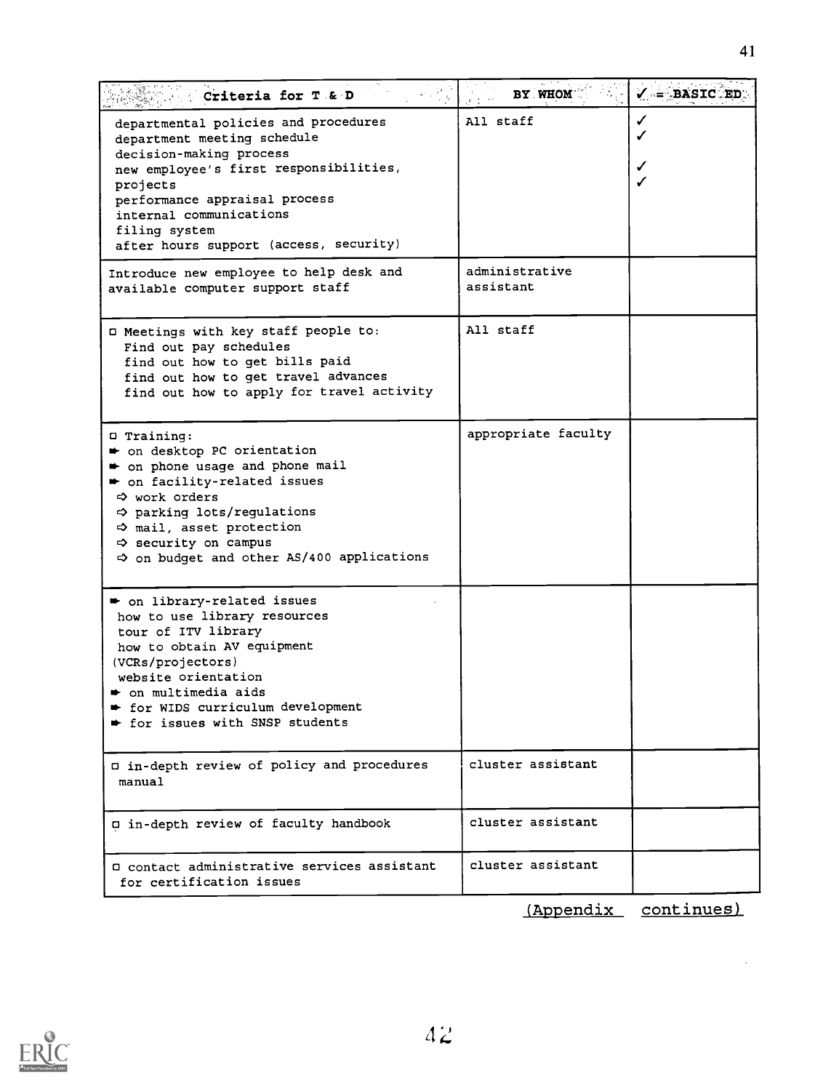| Criteria for T & D                                                                                                                                                                                                                                                                            | BY WHOM                     | $\checkmark$ = BASIC ED. |
|-----------------------------------------------------------------------------------------------------------------------------------------------------------------------------------------------------------------------------------------------------------------------------------------------|-----------------------------|--------------------------|
| departmental policies and procedures<br>department meeting schedule<br>decision-making process<br>new employee's first responsibilities,<br>projects<br>performance appraisal process<br>internal communications<br>filing system<br>after hours support (access, security)                   | All staff                   | ✓<br>✔                   |
| Introduce new employee to help desk and<br>available computer support staff                                                                                                                                                                                                                   | administrative<br>assistant |                          |
| I Meetings with key staff people to:<br>Find out pay schedules<br>find out how to get bills paid<br>find out how to get travel advances<br>find out how to apply for travel activity                                                                                                          | All staff                   |                          |
| $\Box$ Training:<br>→ on desktop PC orientation<br>• on phone usage and phone mail<br>• on facility-related issues<br>$\Leftrightarrow$ work orders<br>→ parking lots/regulations<br>$\Rightarrow$ mail, asset protection<br><> security on campus<br>on budget and other AS/400 applications | appropriate faculty         |                          |
| on library-related issues<br>how to use library resources<br>tour of ITV library<br>how to obtain AV equipment<br>(VCRs/projectors)<br>website orientation<br>$\bullet$ on multimedia aids<br>for WIDS curriculum development<br>tor issues with SNSP students                                |                             |                          |
| I in-depth review of policy and procedures<br>manual                                                                                                                                                                                                                                          | cluster assistant           |                          |
| a in-depth review of faculty handbook                                                                                                                                                                                                                                                         | cluster assistant           |                          |
| O contact administrative services assistant                                                                                                                                                                                                                                                   | cluster assistant           |                          |

(Appendix continues)

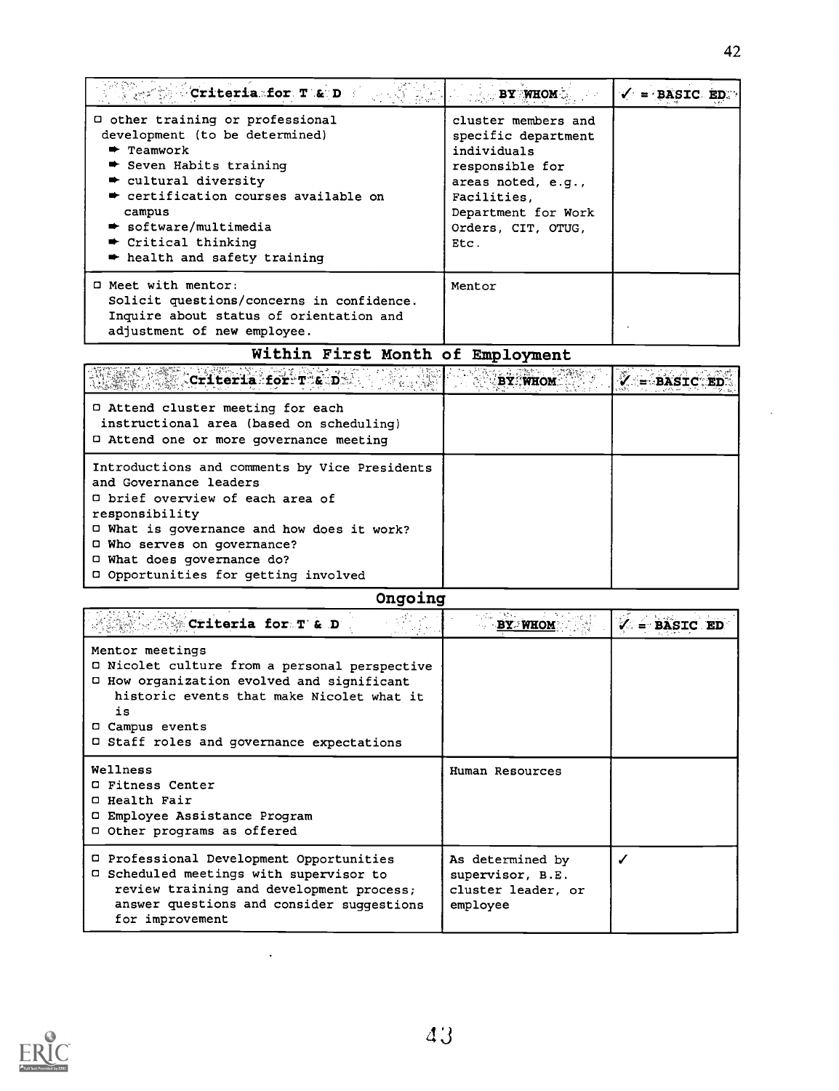| $\mathbb{C}$ and $\mathbb{C}$ . The contribution of $\mathbf{p}$ , $\mathbf{p}$ , $\mathbf{p}$ , $\mathbf{p}$ , $\mathbf{p}$ , $\mathbf{p}$                                                                                                                                                                                                       | <b>EXECUTE AND SET OF STREET AND STREET AND STREET AND STREET AND STREET AND STREET AND STREET AND STR</b>                                                             | $\sqrt{}$ = BASIC ED. |
|---------------------------------------------------------------------------------------------------------------------------------------------------------------------------------------------------------------------------------------------------------------------------------------------------------------------------------------------------|------------------------------------------------------------------------------------------------------------------------------------------------------------------------|-----------------------|
| □ other training or professional<br>development (to be determined)<br>$\blacktriangleright$ Teamwork<br>$\bullet$ Seven Habits training<br>$\bullet$ cultural diversity<br>$\bullet$ certification courses available on<br>campus<br>$\rightarrow$ software/multimedia<br>$\bullet$ Critical thinking<br>$\rightarrow$ health and safety training | cluster members and<br>specific department<br>individuals<br>responsible for<br>areas noted, e.g.,<br>Facilities.<br>Department for Work<br>Orders, CIT, OTUG.<br>Etc. |                       |
| $\Box$ Meet with mentor:<br>Solicit questions/concerns in confidence.<br>Inquire about status of orientation and<br>adjustment of new employee.                                                                                                                                                                                                   | Mentor                                                                                                                                                                 |                       |

## Within First Month of Employment

| $C$ riteria for T $\varepsilon$ D                                                                                                                                                                                                                                                     |  |
|---------------------------------------------------------------------------------------------------------------------------------------------------------------------------------------------------------------------------------------------------------------------------------------|--|
| □ Attend cluster meeting for each<br>instructional area (based on scheduling)<br>□ Attend one or more governance meeting                                                                                                                                                              |  |
| Introductions and comments by Vice Presidents<br>and Governance leaders<br>□ brief overview of each area of<br>responsibility<br>□ What is governance and how does it work?<br>$\Box$ Who serves on governance?<br>□ What does governance do?<br>D Opportunities for getting involved |  |

## Ongoing

| <b>Some Criteria for T'&amp; D'</b>                                                                                                                                                                                                      | e eta 1994<br><b>BY WHOM</b>                                           |  |
|------------------------------------------------------------------------------------------------------------------------------------------------------------------------------------------------------------------------------------------|------------------------------------------------------------------------|--|
| Mentor meetings<br>□ Nicolet culture from a personal perspective<br>□ How organization evolved and significant<br>historic events that make Nicolet what it<br>is<br><b>O</b> Campus events<br>□ Staff roles and governance expectations |                                                                        |  |
| Wellness<br><b>Q Fitness Center</b><br><b>Q</b> Health Fair<br>□ Employee Assistance Program<br>D Other programs as offered                                                                                                              | Human Resources                                                        |  |
| D Professional Development Opportunities<br>Scheduled meetings with supervisor to<br>0.<br>review training and development process;<br>answer questions and consider suggestions<br>for improvement                                      | As determined by<br>supervisor, B.E.<br>cluster leader, or<br>employee |  |

 $\ddot{\phantom{a}}$